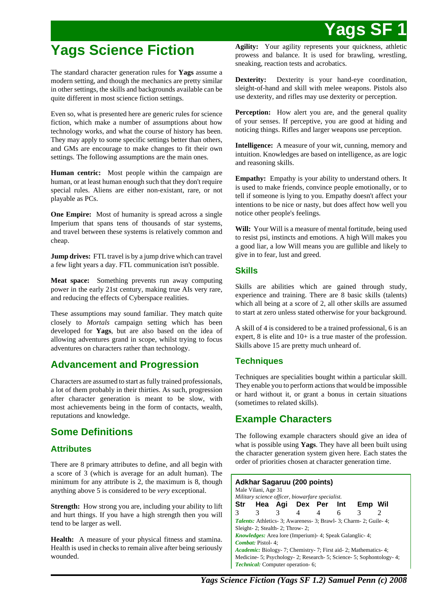# **Yags Science Fiction**

The standard character generation rules for **Yags** assume a modern setting, and though the mechanics are pretty similar in other settings, the skills and backgrounds available can be quite different in most science fiction settings.

Even so, what is presented here are generic rules for science fiction, which make a number of assumptions about how technology works, and what the course of history has been. They may apply to some specific settings better than others, and GMs are encourage to make changes to fit their own settings. The following assumptions are the main ones.

**Human centric:** Most people within the campaign are human, or at least human enough such that they don't require special rules. Aliens are either non-existant, rare, or not playable as PCs.

**One Empire:** Most of humanity is spread across a single Imperium that spans tens of thousands of star systems, and travel between these systems is relatively common and cheap.

**Jump drives:** FTL travel is by a jump drive which can travel a few light years a day. FTL communication isn't possible.

**Meat space:** Something prevents run away computing power in the early 21st century, making true AIs very rare, and reducing the effects of Cyberspace realities.

These assumptions may sound familiar. They match quite closely to *Mortals* campaign setting which has been developed for **Yags**, but are also based on the idea of allowing adventures grand in scope, whilst trying to focus adventures on characters rather than technology.

## **Advancement and Progression**

Characters are assumed to start as fully trained professionals, a lot of them probably in their thirties. As such, progression after character generation is meant to be slow, with most achievements being in the form of contacts, wealth, reputations and knowledge.

# **Some Definitions**

## **Attributes**

There are 8 primary attributes to define, and all begin with a score of 3 (which is average for an adult human). The minimum for any attribute is 2, the maximum is 8, though anything above 5 is considered to be *very* exceptional.

**Strength:** How strong you are, including your ability to lift and hurt things. If you have a high strength then you will tend to be larger as well.

**Health:** A measure of your physical fitness and stamina. Health is used in checks to remain alive after being seriously wounded.

**Agility:** Your agility represents your quickness, athletic prowess and balance. It is used for brawling, wrestling, sneaking, reaction tests and acrobatics.

**Dexterity:** Dexterity is your hand-eye coordination, sleight-of-hand and skill with melee weapons. Pistols also use dexterity, and rifles may use dexterity or perception.

**Perception:** How alert you are, and the general quality of your senses. If perceptive, you are good at hiding and noticing things. Rifles and larger weapons use perception.

**Intelligence:** A measure of your wit, cunning, memory and intuition. Knowledges are based on intelligence, as are logic and reasoning skills.

**Empathy:** Empathy is your ability to understand others. It is used to make friends, convince people emotionally, or to tell if someone is lying to you. Empathy doesn't affect your intentions to be nice or nasty, but does affect how well you notice other people's feelings.

**Will:** Your Will is a measure of mental fortitude, being used to resist psi, instincts and emotions. A high Will makes you a good liar, a low Will means you are gullible and likely to give in to fear, lust and greed.

## **Skills**

Skills are abilities which are gained through study, experience and training. There are 8 basic skills (talents) which all being at a score of 2, all other skills are assumed to start at zero unless stated otherwise for your background.

A skill of 4 is considered to be a trained professional, 6 is an expert, 8 is elite and 10+ is a true master of the profession. Skills above 15 are pretty much unheard of.

## **Techniques**

Techniques are specialities bought within a particular skill. They enable you to perform actions that would be impossible or hard without it, or grant a bonus in certain situations (sometimes to related skills).

# **Example Characters**

The following example characters should give an idea of what is possible using **Yags**. They have all been built using the character generation system given here. Each states the order of priorities chosen at character generation time.

| <b>Adkhar Sagaruu (200 points)</b><br>Male Vilani, Age 31<br>Military science officer, biowarfare specialist. |                                                                   |               |           |   |   |                                                                      |   |  |  |  |
|---------------------------------------------------------------------------------------------------------------|-------------------------------------------------------------------|---------------|-----------|---|---|----------------------------------------------------------------------|---|--|--|--|
|                                                                                                               | Str Hea Agi Dex Per Int                                           |               |           |   |   | Emp Wil                                                              |   |  |  |  |
| 3                                                                                                             | 3                                                                 | $\mathcal{R}$ | $4 \quad$ | 4 | 6 | 3                                                                    | 2 |  |  |  |
|                                                                                                               |                                                                   |               |           |   |   | <b>Talents:</b> Athletics-3; Awareness-3; Brawl-3; Charm-2; Guile-4; |   |  |  |  |
|                                                                                                               | Sleight-2; Stealth-2; Throw-2;                                    |               |           |   |   |                                                                      |   |  |  |  |
|                                                                                                               | <i>Knowledges:</i> Area lore (Imperium) - 4; Speak Galanglic - 4; |               |           |   |   |                                                                      |   |  |  |  |
|                                                                                                               | Combat: Pistol-4;                                                 |               |           |   |   |                                                                      |   |  |  |  |
| <i>Academic:</i> Biology- 7; Chemistry- 7; First aid- 2; Mathematics- 4;                                      |                                                                   |               |           |   |   |                                                                      |   |  |  |  |
| Medicine- 5; Psychology- 2; Research- 5; Science- 5; Sophontology- 4;                                         |                                                                   |               |           |   |   |                                                                      |   |  |  |  |
|                                                                                                               | Technical: Computer operation- 6:                                 |               |           |   |   |                                                                      |   |  |  |  |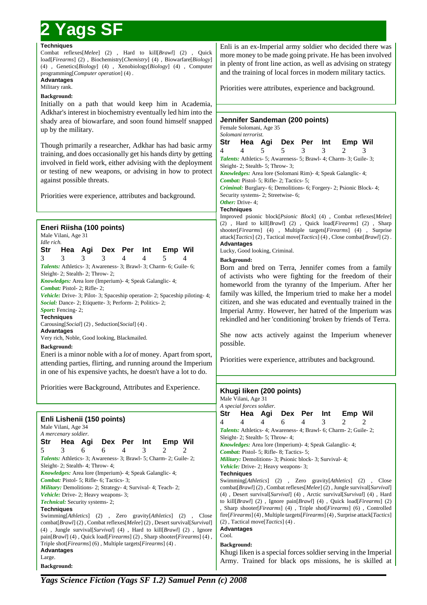#### **Techniques**

Combat reflexes[*Melee*] (2) , Hard to kill[*Brawl*] (2) , Quick load[*Firearms*] (2) , Biochemistry[*Chemistry*] (4) , Biowarfare[*Biology*] (4) , Genetics[*Biology*] (4) , Xenobiology[*Biology*] (4) , Computer programming[*Computer operation*] (4) .

#### **Advantages** Military rank.

## **Background:**

Initially on a path that would keep him in Academia, Adkhar's interest in biochemistry eventually led him into the shady area of biowarfare, and soon found himself snapped up by the military.

Though primarily a researcher, Adkhar has had basic army training, and does occasionally get his hands dirty by getting involved in field work, either advising with the deployment or testing of new weapons, or advising in how to protect against possible threats.

Priorities were experience, attributes and background.

## **Eneri Riisha (100 points)**

Male Vilani, Age 31 *Idle rich.* **Str Hea Agi Dex Per Int Emp Wil** 3 3 3 3 4 4 5 4 *Talents:* Athletics- 3; Awareness- 3; Brawl- 3; Charm- 6; Guile- 6; Sleight- 2; Stealth- 2; Throw- 2; *Knowledges:* Area lore (Imperium)- 4; Speak Galanglic- 4; *Combat:* Pistol- 2; Rifle- 2; *Vehicle: Drive-3; Pilot-3; Spaceship operation-2; Spaceship piloting-4; Social:* Dance- 2; Etiquette- 3; Perform- 2; Politics- 2; Sport: Fencing-2; **Techniques** Carousing[*Social*] (2) , Seduction[*Social*] (4) .

**Advantages**

Very rich, Noble, Good looking, Blackmailed. **Background:**

Eneri is a minor noble with a *lot* of money. Apart from sport, attending parties, flirting, and running around the Imperium in one of his expensive yachts, he doesn't have a lot to do.

Priorities were Background, Attributes and Experie

#### **Enli Lishenii (150 points)** Male Vilani, Age 34 *A mercenary soldier.* **Str Hea Agi Dex Per Int Emp W** 5 3 6 6 4 3 2 2 Talents: Athletics- 3; Awareness- 3; Brawl- 5; Charm- 2; Guile Sleight- 2; Stealth- 4; Throw- 4; *Knowledges:* Area lore (Imperium)- 4; Speak Galanglic- 4; *Combat:* Pistol- 5; Rifle- 6; Tactics- 3; *Military:* Demolitions- 2; Strategy- 4; Survival- 4; Teach- 2; *Vehicle:* Drive- 2; Heavy weapons- 3; *Technical:* Security systems- 2; **Techniques**

Swimming[*Athletics*] (2), Zero gravity[*Athletics*] (2) combat[*Brawl*] (2), Combat reflexes[*Melee*] (2), Desert survival (4), Jungle survival[*Survival*] (4), Hard to kill[*Brawl*] (2) pain[*Brawl*] (4) , Quick load[*Firearms*] (2) , Sharp shooter[*Firearms*] (4) , Triple shot[*Firearms*] (6) , Multiple targets[*Firearms*] (4) . **Advantages** Large.

**Background:**

Enli is an ex-Imperial army soldier who decided there was more money to be made going private. He has been involved in plenty of front line action, as well as advising on strategy and the training of local forces in modern military tactics.

Priorities were attributes, experience and background.

## **Jennifer Sandeman (200 points)** Female Solomani, Age 35 *Solomani terrorist.* **Str Hea Agi Dex Per Int Emp Wil** 4 4 5 5 3 3 2 3 *Talents:* Athletics- 5; Awareness- 5; Brawl- 4; Charm- 3; Guile- 3; Sleight- 2; Stealth- 5; Throw- 3; *Knowledges:* Area lore (Solomani Rim)- 4; Speak Galanglic- 4; *Combat:* Pistol- 5; Rifle- 2; Tactics- 5; *Criminal:* Burglary- 6; Demolitions- 6; Forgery- 2; Psionic Block- 4; Security systems- 2; Streetwise- 6; *Other:* Drive- 4; **Techniques** Improved psionic block[*Psionic Block*] (4) , Combat reflexes[*Melee*] (2) , Hard to kill[*Brawl*] (2) , Quick load[*Firearms*] (2) , Sharp shooter[*Firearms*] (4) , Multiple targets[*Firearms*] (4) , Surprise attack[*Tactics*] (2) , Tactical move[*Tactics*] (4) , Close combat[*Brawl*] (2) . **Advantages** Lucky, Good looking, Criminal. **Background:** Born and bred on Terra, Jennifer comes from a family of activists who were fighting for the freedom of their homeworld from the tyranny of the Imperium. After her family was killed, the Imperium tried to make her a model citizen, and she was educated and eventually trained in the Imperial Army. However, her hatred of the Imperium was rekindled and her 'conditioning' broken by friends of Terra.

She now acts actively against the Imperium whenever possible.

Priorities were experience, attributes and background.

| ence.                               | Khugi liken (200 points)<br>Male Vilani, Age 31 |                                                                        |         |   |             |   |                                                                      |                                                                                                                                                                            |  |  |  |
|-------------------------------------|-------------------------------------------------|------------------------------------------------------------------------|---------|---|-------------|---|----------------------------------------------------------------------|----------------------------------------------------------------------------------------------------------------------------------------------------------------------------|--|--|--|
|                                     |                                                 | A special forces soldier.                                              |         |   |             |   |                                                                      |                                                                                                                                                                            |  |  |  |
|                                     | Str                                             |                                                                        | Hea Agi |   | Dex Per Int |   | Emp Wil                                                              |                                                                                                                                                                            |  |  |  |
|                                     | 4                                               | 4                                                                      | 4       | 6 | 4           | 3 | $\mathcal{L}$                                                        | 2                                                                                                                                                                          |  |  |  |
|                                     |                                                 |                                                                        |         |   |             |   | <i>Talents:</i> Athletics-4; Awareness-4; Brawl-6; Charm-2; Guile-2; |                                                                                                                                                                            |  |  |  |
| Vil                                 |                                                 | Sleight- 2; Stealth- 5; Throw- 4;                                      |         |   |             |   |                                                                      |                                                                                                                                                                            |  |  |  |
|                                     |                                                 | <i>Knowledges:</i> Area lore (Imperium) - 4; Speak Galanglic - 4;      |         |   |             |   |                                                                      |                                                                                                                                                                            |  |  |  |
|                                     |                                                 | Combat: Pistol- 5; Rifle- 8; Tactics- 5;                               |         |   |             |   |                                                                      |                                                                                                                                                                            |  |  |  |
| $-2;$                               |                                                 | <b><i>Military:</i></b> Demolitions- 3; Psionic block- 3; Survival- 4; |         |   |             |   |                                                                      |                                                                                                                                                                            |  |  |  |
|                                     |                                                 | Vehicle: Drive- 2; Heavy weapons- 3;                                   |         |   |             |   |                                                                      |                                                                                                                                                                            |  |  |  |
|                                     | <b>Techniques</b>                               |                                                                        |         |   |             |   |                                                                      |                                                                                                                                                                            |  |  |  |
|                                     |                                                 |                                                                        |         |   |             |   | Swimming[Athletics] (2), Zero gravity[Athletics] (2)                 | Close                                                                                                                                                                      |  |  |  |
|                                     |                                                 |                                                                        |         |   |             |   |                                                                      | combat[Brawl] (2), Combat reflexes[Melee] (2), Jungle survival[Survival]                                                                                                   |  |  |  |
|                                     |                                                 |                                                                        |         |   |             |   |                                                                      | $(4)$ , Desert survival[ <i>Survival</i> ] $(4)$ , Arctic survival[ <i>Survival</i> ] $(4)$ , Hard                                                                         |  |  |  |
|                                     |                                                 |                                                                        |         |   |             |   |                                                                      | to kill [ <i>Brawl</i> ] (2), Ignore pain [ <i>Brawl</i> ] (4), Quick $load[Firearms]$ (2)                                                                                 |  |  |  |
|                                     |                                                 |                                                                        |         |   |             |   |                                                                      | , Sharp shooter[Firearms] (4), Triple shot[Firearms] (6), Controlled<br>$fire[Firearms]$ (4), Multiple targets [ <i>Firearms</i> ] (4), Surprise attack [ <i>Tactics</i> ] |  |  |  |
| Close                               |                                                 | $(2)$ , Tactical move[Tactics] $(4)$ .                                 |         |   |             |   |                                                                      |                                                                                                                                                                            |  |  |  |
| al[ <i>Survival</i> ]<br>2), Ignore |                                                 |                                                                        |         |   |             |   |                                                                      |                                                                                                                                                                            |  |  |  |
| earms] (4),                         | <b>Advantages</b><br>Cool.                      |                                                                        |         |   |             |   |                                                                      |                                                                                                                                                                            |  |  |  |
|                                     | <b>Background:</b>                              |                                                                        |         |   |             |   |                                                                      |                                                                                                                                                                            |  |  |  |
|                                     |                                                 |                                                                        |         |   |             |   |                                                                      |                                                                                                                                                                            |  |  |  |
|                                     |                                                 |                                                                        |         |   |             |   |                                                                      | Khugi Iiken is a special forces soldier serving in the Imperial                                                                                                            |  |  |  |
|                                     |                                                 |                                                                        |         |   |             |   |                                                                      | Army. Trained for black ops missions, he is skilled at                                                                                                                     |  |  |  |
|                                     |                                                 |                                                                        |         |   |             |   |                                                                      |                                                                                                                                                                            |  |  |  |

*Yags Science Fiction (Yags SF 1.2) Samuel Penn (c) 2008*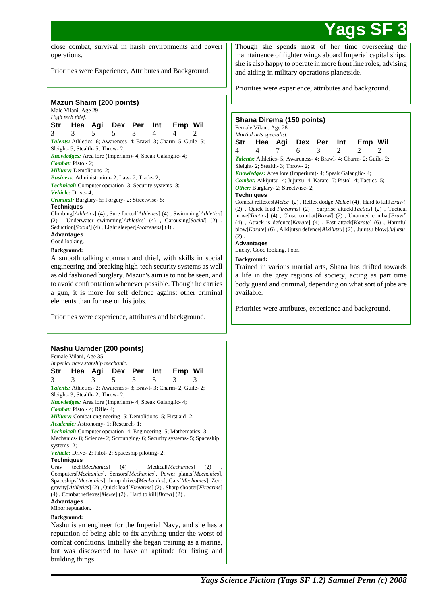# **Yags**

close combat, survival in harsh environments and covert operations.

Priorities were Experience, Attributes and Background.

|                                                                                                                                          |                                               |     | <b>Mazun Shaim (200 points)</b>                                                      |         |     |                                                                           |  |  |  |  |
|------------------------------------------------------------------------------------------------------------------------------------------|-----------------------------------------------|-----|--------------------------------------------------------------------------------------|---------|-----|---------------------------------------------------------------------------|--|--|--|--|
| Male Vilani, Age 29                                                                                                                      |                                               |     |                                                                                      |         |     |                                                                           |  |  |  |  |
|                                                                                                                                          | High tech thief.                              |     |                                                                                      |         |     |                                                                           |  |  |  |  |
| Str                                                                                                                                      | Hea                                           |     | Agi Dex Per                                                                          |         | Int | Emp Wil                                                                   |  |  |  |  |
| 3                                                                                                                                        | 3                                             | 5   | 5                                                                                    | 3       | 4   | 4<br>2                                                                    |  |  |  |  |
|                                                                                                                                          |                                               |     |                                                                                      |         |     | Talents: Athletics- 6; Awareness- 4; Brawl- 3; Charm- 5; Guile- 5;        |  |  |  |  |
|                                                                                                                                          | Sleight- 5; Stealth- 5; Throw- 2;             |     |                                                                                      |         |     |                                                                           |  |  |  |  |
|                                                                                                                                          |                                               |     | Knowledges: Area lore (Imperium)- 4; Speak Galanglic- 4;                             |         |     |                                                                           |  |  |  |  |
|                                                                                                                                          | Combat: Pistol-2;<br>Military: Demolitions-2; |     |                                                                                      |         |     |                                                                           |  |  |  |  |
|                                                                                                                                          |                                               |     | Business: Administration-2; Law-2; Trade-2;                                          |         |     |                                                                           |  |  |  |  |
|                                                                                                                                          |                                               |     | <b>Technical:</b> Computer operation- 3; Security systems- 8;                        |         |     |                                                                           |  |  |  |  |
|                                                                                                                                          | Vehicle: Drive- 4:                            |     |                                                                                      |         |     |                                                                           |  |  |  |  |
|                                                                                                                                          |                                               |     | Criminal: Burglary- 5; Forgery- 2; Streetwise- 5;                                    |         |     |                                                                           |  |  |  |  |
| <b>Techniques</b>                                                                                                                        |                                               |     |                                                                                      |         |     |                                                                           |  |  |  |  |
|                                                                                                                                          |                                               |     |                                                                                      |         |     | Climbing[Athletics] (4), Sure footed[Athletics] (4), Swimming[Athletics]  |  |  |  |  |
|                                                                                                                                          |                                               |     | Seduction[Social] (4), Light sleeper[Awareness] (4).                                 |         |     | (2), Underwater swimming[Athletics] (4), Carousing[Social] (2),           |  |  |  |  |
| <b>Advantages</b>                                                                                                                        |                                               |     |                                                                                      |         |     |                                                                           |  |  |  |  |
|                                                                                                                                          | Good looking.                                 |     |                                                                                      |         |     |                                                                           |  |  |  |  |
| <b>Background:</b>                                                                                                                       |                                               |     |                                                                                      |         |     |                                                                           |  |  |  |  |
|                                                                                                                                          |                                               |     |                                                                                      |         |     | A smooth talking conman and thief, with skills in social                  |  |  |  |  |
|                                                                                                                                          |                                               |     |                                                                                      |         |     | engineering and breaking high-tech security systems as well               |  |  |  |  |
|                                                                                                                                          |                                               |     |                                                                                      |         |     | as old fashioned burglary. Mazun's aim is to not be seen, and             |  |  |  |  |
|                                                                                                                                          |                                               |     |                                                                                      |         |     | to avoid confrontation whenever possible. Though he carries               |  |  |  |  |
|                                                                                                                                          |                                               |     |                                                                                      |         |     | a gun, it is more for self defence against other criminal                 |  |  |  |  |
|                                                                                                                                          |                                               |     | elements than for use on his jobs.                                                   |         |     |                                                                           |  |  |  |  |
|                                                                                                                                          |                                               |     |                                                                                      |         |     |                                                                           |  |  |  |  |
|                                                                                                                                          |                                               |     |                                                                                      |         |     | Priorities were experience, attributes and background.                    |  |  |  |  |
|                                                                                                                                          |                                               |     |                                                                                      |         |     |                                                                           |  |  |  |  |
|                                                                                                                                          |                                               |     |                                                                                      |         |     |                                                                           |  |  |  |  |
|                                                                                                                                          |                                               |     |                                                                                      |         |     |                                                                           |  |  |  |  |
|                                                                                                                                          |                                               |     | Nashu Uamder (200 points)                                                            |         |     |                                                                           |  |  |  |  |
|                                                                                                                                          | Female Vilani, Age 35                         |     | Imperial navy starship mechanic.                                                     |         |     |                                                                           |  |  |  |  |
| Str                                                                                                                                      | Hea                                           | Aqi |                                                                                      | Dex Per | Int | Emp Wil                                                                   |  |  |  |  |
| 3                                                                                                                                        | 3                                             | 3   | 5                                                                                    | 3       | 5   | 3<br>3                                                                    |  |  |  |  |
|                                                                                                                                          |                                               |     |                                                                                      |         |     | Talents: Athletics- 2; Awareness- 3; Brawl- 3; Charm- 2; Guile- 2;        |  |  |  |  |
|                                                                                                                                          | Sleight-3; Stealth-2; Throw-2;                |     |                                                                                      |         |     |                                                                           |  |  |  |  |
|                                                                                                                                          |                                               |     | Knowledges: Area lore (Imperium)- 4; Speak Galanglic- 4;                             |         |     |                                                                           |  |  |  |  |
|                                                                                                                                          | Combat: Pistol- 4; Rifle- 4;                  |     |                                                                                      |         |     |                                                                           |  |  |  |  |
|                                                                                                                                          |                                               |     |                                                                                      |         |     | Military: Combat engineering- 5; Demolitions- 5; First aid- 2;            |  |  |  |  |
| Academic: Astronomy- 1; Research- 1;                                                                                                     |                                               |     |                                                                                      |         |     |                                                                           |  |  |  |  |
| Technical: Computer operation- 4; Engineering- 5; Mathematics- 3;<br>Mechanics-8; Science-2; Scrounging-6; Security systems-5; Spaceship |                                               |     |                                                                                      |         |     |                                                                           |  |  |  |  |
| systems-2;                                                                                                                               |                                               |     |                                                                                      |         |     |                                                                           |  |  |  |  |
| Vehicle: Drive-2; Pilot-2; Spaceship piloting-2;                                                                                         |                                               |     |                                                                                      |         |     |                                                                           |  |  |  |  |
| <b>Techniques</b>                                                                                                                        |                                               |     |                                                                                      |         |     |                                                                           |  |  |  |  |
| tech[Mechanics]<br>Medical[Mechanics]<br>Grav<br>(4)<br>(2)                                                                              |                                               |     |                                                                                      |         |     |                                                                           |  |  |  |  |
|                                                                                                                                          |                                               |     |                                                                                      |         |     | Computers[Mechanics], Sensors[Mechanics], Power plants[Mechanics],        |  |  |  |  |
|                                                                                                                                          |                                               |     |                                                                                      |         |     | Spaceships[Mechanics], Jump drives[Mechanics], Cars[Mechanics], Zero      |  |  |  |  |
|                                                                                                                                          |                                               |     | $(4)$ , Combat reflexes[ <i>Melee</i> ] $(2)$ , Hard to kill[ <i>Brawl</i> ] $(2)$ . |         |     | gravity[Athletics] (2), Quick load[Firearms] (2), Sharp shooter[Firearms] |  |  |  |  |
| Advantages                                                                                                                               |                                               |     |                                                                                      |         |     |                                                                           |  |  |  |  |
|                                                                                                                                          | Minor reputation.                             |     |                                                                                      |         |     |                                                                           |  |  |  |  |
| <b>Background:</b>                                                                                                                       |                                               |     |                                                                                      |         |     |                                                                           |  |  |  |  |

Nashu is an engineer for the Imperial Navy, and she has a reputation of being able to fix anything under the worst of combat conditions. Initially she began training as a marine, but was discovered to have an aptitude for fixing and building things.

Though she spends most of her time overseeing the maintainence of fighter wings aboard Imperial capital ships, she is also happy to operate in more front line roles, advising and aiding in military operations planetside.

Priorities were experience, attributes and background.

#### **Shana Direma (150 points)** Female Vilani, Age 28

*Martial arts specialist.*

|  |  | Str Hea Agi Dex Per Int Emp Wil                                           |  |
|--|--|---------------------------------------------------------------------------|--|
|  |  | 4 4 7 6 3 2 2 2                                                           |  |
|  |  | <b>Talents:</b> Athletics- 5; Awareness- 4; Brawl- 4; Charm- 2; Guile- 2; |  |

Sleight- 2; Stealth- 3; Throw- 2;

*Knowledges:* Area lore (Imperium)- 4; Speak Galanglic- 4;

*Combat:* Aikijutsu- 4; Jujutsu- 4; Karate- 7; Pistol- 4; Tactics- 5;

## **Other:** Burglary- 2: Streetwise- 2:

**Techniques**

Combat reflexes[*Melee*] (2) , Reflex dodge[*Melee*] (4) , Hard to kill[*Brawl*] (2) , Quick load[*Firearms*] (2) , Surprise attack[*Tactics*] (2) , Tactical move[*Tactics*] (4) , Close combat[*Brawl*] (2) , Unarmed combat[*Brawl*] (4) , Attack is defence[*Karate*] (4) , Fast attack[*Karate*] (6) , Harmful blow[*Karate*] (6) , Aikijutsu defence[*Aikijutsu*] (2) , Jujutsu blow[*Jujutsu*]  $(2)$ .

## **Advantages**

Lucky, Good looking, Poor.

## **Background:**

Trained in various martial arts, Shana has drifted towards a life in the grey regions of society, acting as part time body guard and criminal, depending on what sort of jobs are available.

Priorities were attributes, experience and background.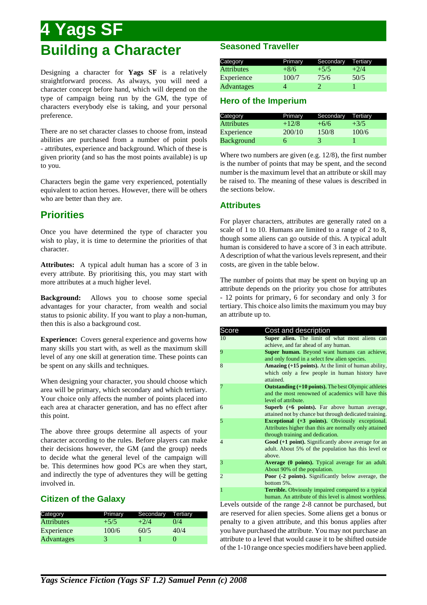# **4 Yags SF Building a Character**

Designing a character for **Yags SF** is a relatively straightforward process. As always, you will need a character concept before hand, which will depend on the type of campaign being run by the GM, the type of characters everybody else is taking, and your personal preference.

There are no set character classes to choose from, instead abilities are purchased from a number of point pools - attributes, experience and background. Which of these is given priority (and so has the most points available) is up to you.

Characters begin the game very experienced, potentially equivalent to action heroes. However, there will be others who are better than they are.

# **Priorities**

Once you have determined the type of character you wish to play, it is time to determine the priorities of that character.

**Attributes:** A typical adult human has a score of 3 in every attribute. By prioritising this, you may start with more attributes at a much higher level.

**Background:** Allows you to choose some special advantages for your character, from wealth and social status to psionic ability. If you want to play a non-human, then this is also a background cost.

**Experience:** Covers general experience and governs how many skills you start with, as well as the maximum skill level of any one skill at generation time. These points can be spent on any skills and techniques.

When designing your character, you should choose which area will be primary, which secondary and which tertiary. Your choice only affects the number of points placed into each area at character generation, and has no effect after this point.

The above three groups determine all aspects of your character according to the rules. Before players can make their decisions however, the GM (and the group) needs to decide what the general level of the campaign will be. This determines how good PCs are when they start, and indirectly the type of adventures they will be getting involved in.

## **Citizen of the Galaxy**

| Category          | Primary | Secondary | Tertiary |
|-------------------|---------|-----------|----------|
| <b>Attributes</b> | $+5/5$  | $+2/4$    | 0/4      |
| Experience        | 100/6   | 60/5      | 40/4     |
| <b>Advantages</b> |         |           | U        |

## **Seasoned Traveller**

| Category          | Primary | Secondary | Tertiary |
|-------------------|---------|-----------|----------|
| <b>Attributes</b> | $+8/6$  | $+5/5$    | $+2/4$   |
| Experience        | 100/7   | 75/6      | 50/5     |
| <b>Advantages</b> |         |           |          |

## **Hero of the Imperium**

| Category          | Primary | Secondary | Tertiary |
|-------------------|---------|-----------|----------|
| <b>Attributes</b> | $+12/8$ | $+6/6$    | $+3/5$   |
| Experience        | 200/10  | 150/8     | 100/6    |
| <b>Background</b> |         |           |          |

Where two numbers are given (e.g. 12/8), the first number is the number of points that may be spent, and the second number is the maximum level that an attribute or skill may be raised to. The meaning of these values is described in the sections below.

## **Attributes**

For player characters, attributes are generally rated on a scale of 1 to 10. Humans are limited to a range of 2 to 8, though some aliens can go outside of this. A typical adult human is considered to have a score of 3 in each attribute. A description of what the various levels represent, and their costs, are given in the table below.

The number of points that may be spent on buying up an attribute depends on the priority you chose for attributes - 12 points for primary, 6 for secondary and only 3 for tertiary. This choice also limits the maximum you may buy an attribute up to.

| Score          | Cost and description                                              |
|----------------|-------------------------------------------------------------------|
| 10             | Super alien. The limit of what most aliens can                    |
|                | achieve, and far ahead of any human.                              |
| 9              | Super human. Beyond want humans can achieve,                      |
|                | and only found in a select few alien species.                     |
| 8              | <b>Amazing (+15 points).</b> At the limit of human ability,       |
|                | which only a few people in human history have<br>attained.        |
|                | <b>Outstanding (+10 points).</b> The best Olympic athletes        |
|                | and the most renowned of academics will have this                 |
|                | level of attribute.                                               |
| 6              | <b>Superb</b> (+6 points). Far above human average,               |
|                | attained not by chance but through dedicated training.            |
| 5              | <b>Exceptional</b> $(+3 \text{ points})$ . Obviously exceptional. |
|                | Attributes higher than this are normally only attained            |
|                | through training and dedication.                                  |
| $\overline{4}$ | Good (+1 point). Significantly above average for an               |
|                | adult. About 5% of the population has this level or               |
|                | above.                                                            |
| 3              | <b>Average (0 points).</b> Typical average for an adult.          |
|                | About 90% of the population.                                      |
| $\overline{c}$ | Poor (-2 points). Significantly below average, the                |
|                | bottom 5%.                                                        |
| 1              | <b>Terrible.</b> Obviously impaired compared to a typical         |
|                | human. An attribute of this level is almost worthless.            |

Levels outside of the range 2-8 cannot be purchased, but are reserved for alien species. Some aliens get a bonus or penalty to a given attribute, and this bonus applies after you have purchased the attribute. You may not purchase an attribute to a level that would cause it to be shifted outside of the 1-10 range once species modifiers have been applied.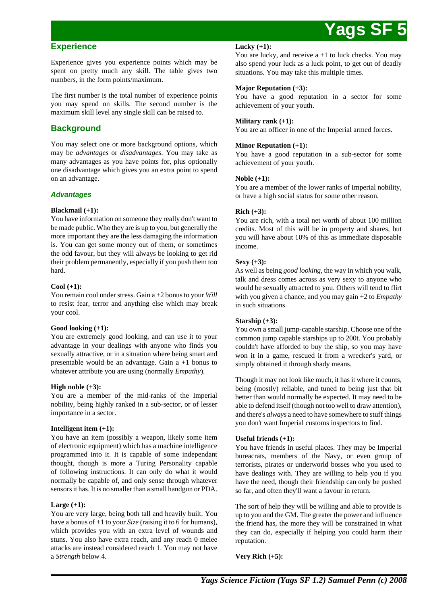## **Experience**

Experience gives you experience points which may be spent on pretty much any skill. The table gives two numbers, in the form points/maximum.

The first number is the total number of experience points you may spend on skills. The second number is the maximum skill level any single skill can be raised to.

## **Background**

You may select one or more background options, which may be *advantages* or *disadvantages*. You may take as many advantages as you have points for, plus optionally one disadvantage which gives you an extra point to spend on an advantage.

## **Advantages**

### **Blackmail (+1):**

You have information on someone they really don't want to be made public. Who they are is up to you, but generally the more important they are the less damaging the information is. You can get some money out of them, or sometimes the odd favour, but they will always be looking to get rid their problem permanently, especially if you push them too hard.

### **Cool (+1):**

You remain cool under stress. Gain a +2 bonus to your *Will* to resist fear, terror and anything else which may break your cool.

#### **Good looking (+1):**

You are extremely good looking, and can use it to your advantage in your dealings with anyone who finds you sexually attractive, or in a situation where being smart and presentable would be an advantage. Gain a +1 bonus to whatever attribute you are using (normally *Empathy*).

#### **High noble (+3):**

You are a member of the mid-ranks of the Imperial nobility, being highly ranked in a sub-sector, or of lesser importance in a sector.

## **Intelligent item (+1):**

You have an item (possibly a weapon, likely some item of electronic equipment) which has a machine intelligence programmed into it. It is capable of some independant thought, though is more a Turing Personality capable of following instructions. It can only do what it would normally be capable of, and only sense through whatever sensors it has. It is no smaller than a small handgun or PDA.

#### **Large (+1):**

You are very large, being both tall and heavily built. You have a bonus of +1 to your *Size* (raising it to 6 for humans), which provides you with an extra level of wounds and stuns. You also have extra reach, and any reach 0 melee attacks are instead considered reach 1. You may not have a *Strength* below 4.

#### **Lucky (+1):**

You are lucky, and receive a +1 to luck checks. You may also spend your luck as a luck point, to get out of deadly situations. You may take this multiple times.

### **Major Reputation (+3):**

You have a good reputation in a sector for some achievement of your youth.

### **Military rank (+1):**

You are an officer in one of the Imperial armed forces.

### **Minor Reputation (+1):**

You have a good reputation in a sub-sector for some achievement of your youth.

## **Noble (+1):**

You are a member of the lower ranks of Imperial nobility, or have a high social status for some other reason.

## **Rich (+3):**

You are rich, with a total net worth of about 100 million credits. Most of this will be in property and shares, but you will have about 10% of this as immediate disposable income.

## **Sexy (+3):**

As well as being *good looking*, the way in which you walk, talk and dress comes across as very sexy to anyone who would be sexually attracted to you. Others will tend to flirt with you given a chance, and you may gain +2 to *Empathy* in such situations.

#### **Starship (+3):**

You own a small jump-capable starship. Choose one of the common jump capable starships up to 200t. You probably couldn't have afforded to buy the ship, so you may have won it in a game, rescued it from a wrecker's yard, or simply obtained it through shady means.

Though it may not look like much, it has it where it counts, being (mostly) reliable, and tuned to being just that bit better than would normally be expected. It may need to be able to defend itself (though not too well to draw attention), and there's *always* a need to have somewhere to stuff things you don't want Imperial customs inspectors to find.

#### **Useful friends (+1):**

You have friends in useful places. They may be Imperial bureacrats, members of the Navy, or even group of terrorists, pirates or underworld bosses who you used to have dealings with. They are willing to help you if you have the need, though their friendship can only be pushed so far, and often they'll want a favour in return.

The sort of help they will be willing and able to provide is up to you and the GM. The greater the power and influence the friend has, the more they will be constrained in what they can do, especially if helping you could harm their reputation.

**Very Rich (+5):**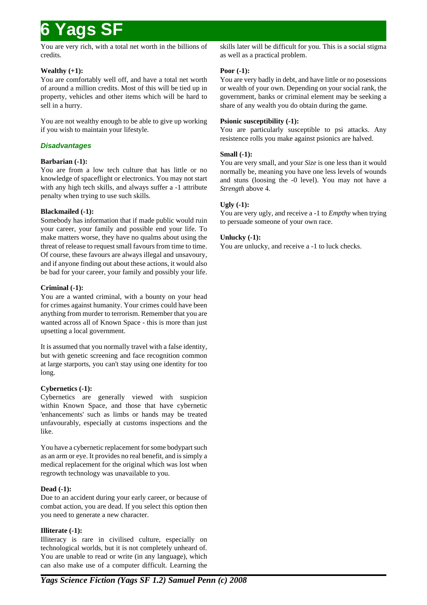You are very rich, with a total net worth in the billions of credits.

## **Wealthy (+1):**

You are comfortably well off, and have a total net worth of around a million credits. Most of this will be tied up in property, vehicles and other items which will be hard to sell in a hurry.

You are not wealthy enough to be able to give up working if you wish to maintain your lifestyle.

## **Disadvantages**

## **Barbarian (-1):**

You are from a low tech culture that has little or no knowledge of spaceflight or electronics. You may not start with any high tech skills, and always suffer a -1 attribute penalty when trying to use such skills.

## **Blackmailed (-1):**

Somebody has information that if made public would ruin your career, your family and possible end your life. To make matters worse, they have no qualms about using the threat of release to request small favours from time to time. Of course, these favours are always illegal and unsavoury, and if anyone finding out about these actions, it would also be bad for your career, your family and possibly your life.

## **Criminal (-1):**

You are a wanted criminal, with a bounty on your head for crimes against humanity. Your crimes could have been anything from murder to terrorism. Remember that you are wanted across all of Known Space - this is more than just upsetting a local government.

It is assumed that you normally travel with a false identity, but with genetic screening and face recognition common at large starports, you can't stay using one identity for too long.

## **Cybernetics (-1):**

Cybernetics are generally viewed with suspicion within Known Space, and those that have cybernetic 'enhancements' such as limbs or hands may be treated unfavourably, especially at customs inspections and the like.

You have a cybernetic replacement for some bodypart such as an arm or eye. It provides no real benefit, and is simply a medical replacement for the original which was lost when regrowth technology was unavailable to you.

## **Dead (-1):**

Due to an accident during your early career, or because of combat action, you are dead. If you select this option then you need to generate a new character.

## **Illiterate (-1):**

Illiteracy is rare in civilised culture, especially on technological worlds, but it is not completely unheard of. You are unable to read or write (in any language), which can also make use of a computer difficult. Learning the skills later will be difficult for you. This is a social stigma as well as a practical problem.

## **Poor (-1):**

You are very badly in debt, and have little or no posessions or wealth of your own. Depending on your social rank, the government, banks or criminal element may be seeking a share of any wealth you do obtain during the game.

## **Psionic susceptibility (-1):**

You are particularly susceptible to psi attacks. Any resistence rolls you make against psionics are halved.

## **Small (-1):**

You are very small, and your *Size* is one less than it would normally be, meaning you have one less levels of wounds and stuns (loosing the -0 level). You may not have a *Strength* above 4.

## **Ugly (-1):**

You are very ugly, and receive a -1 to *Empthy* when trying to persuade someone of your own race.

## **Unlucky (-1):**

You are unlucky, and receive a -1 to luck checks.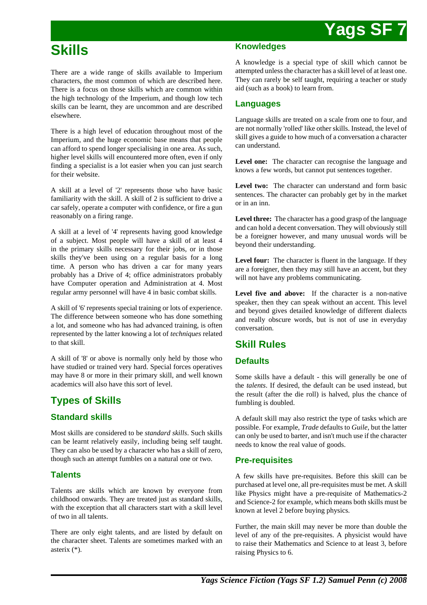# **Skills**

There are a wide range of skills available to Imperium characters, the most common of which are described here. There is a focus on those skills which are common within the high technology of the Imperium, and though low tech skills can be learnt, they are uncommon and are described elsewhere.

There is a high level of education throughout most of the Imperium, and the huge economic base means that people can afford to spend longer specialising in one area. As such, higher level skills will encountered more often, even if only finding a specialist is a lot easier when you can just search for their website.

A skill at a level of '2' represents those who have basic familiarity with the skill. A skill of 2 is sufficient to drive a car safely, operate a computer with confidence, or fire a gun reasonably on a firing range.

A skill at a level of '4' represents having good knowledge of a subject. Most people will have a skill of at least 4 in the primary skills necessary for their jobs, or in those skills they've been using on a regular basis for a long time. A person who has driven a car for many years probably has a Drive of 4; office administrators probably have Computer operation and Administration at 4. Most regular army personnel will have 4 in basic combat skills.

A skill of '6' represents special training or lots of experience. The difference between someone who has done something a lot, and someone who has had advanced training, is often represented by the latter knowing a lot of *techniques* related to that skill.

A skill of '8' or above is normally only held by those who have studied or trained very hard. Special forces operatives may have 8 or more in their primary skill, and well known academics will also have this sort of level.

# **Types of Skills**

## **Standard skills**

Most skills are considered to be *standard skills*. Such skills can be learnt relatively easily, including being self taught. They can also be used by a character who has a skill of zero, though such an attempt fumbles on a natural one or two.

## **Talents**

Talents are skills which are known by everyone from childhood onwards. They are treated just as standard skills, with the exception that all characters start with a skill level of two in all talents.

There are only eight talents, and are listed by default on the character sheet. Talents are sometimes marked with an asterix (\*).

## **Knowledges**

A knowledge is a special type of skill which cannot be attempted unless the character has a skill level of at least one. They can rarely be self taught, requiring a teacher or study aid (such as a book) to learn from.

## **Languages**

Language skills are treated on a scale from one to four, and are not normally 'rolled' like other skills. Instead, the level of skill gives a guide to how much of a conversation a character can understand.

**Level one:** The character can recognise the language and knows a few words, but cannot put sentences together.

Level two: The character can understand and form basic sentences. The character can probably get by in the market or in an inn.

**Level three:** The character has a good grasp of the language and can hold a decent conversation. They will obviously still be a foreigner however, and many unusual words will be beyond their understanding.

Level four: The character is fluent in the language. If they are a foreigner, then they may still have an accent, but they will not have any problems communicating.

**Level five and above:** If the character is a non-native speaker, then they can speak without an accent. This level and beyond gives detailed knowledge of different dialects and really obscure words, but is not of use in everyday conversation.

# **Skill Rules**

## **Defaults**

Some skills have a default - this will generally be one of the *talents*. If desired, the default can be used instead, but the result (after the die roll) is halved, plus the chance of fumbling is doubled.

A default skill may also restrict the type of tasks which are possible. For example, *Trade* defaults to *Guile*, but the latter can only be used to barter, and isn't much use if the character needs to know the real value of goods.

## **Pre-requisites**

A few skills have pre-requisites. Before this skill can be purchased at level one, all pre-requisites must be met. A skill like Physics might have a pre-requisite of Mathematics-2 and Science-2 for example, which means both skills must be known at level 2 before buying physics.

Further, the main skill may never be more than double the level of any of the pre-requisites. A physicist would have to raise their Mathematics and Science to at least 3, before raising Physics to 6.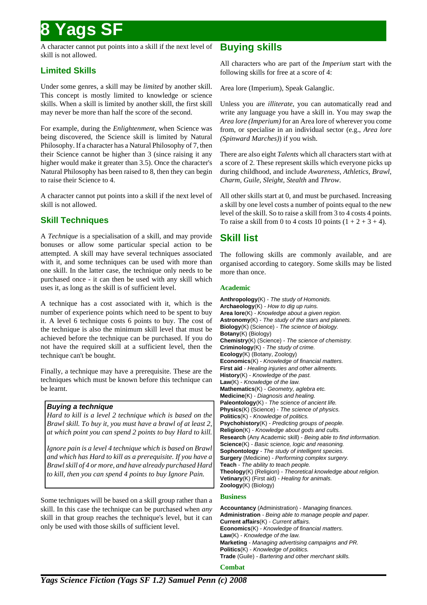A character cannot put points into a skill if the next level of skill is not allowed.

## **Limited Skills**

Under some genres, a skill may be *limited* by another skill. This concept is mostly limited to knowledge or science skills. When a skill is limited by another skill, the first skill may never be more than half the score of the second.

For example, during the *Enlightenment*, when Science was being discovered, the Science skill is limited by Natural Philosophy. If a character has a Natural Philosophy of 7, then their Science cannot be higher than 3 (since raising it any higher would make it greater than 3.5). Once the character's Natural Philosophy has been raised to 8, then they can begin to raise their Science to 4.

A character cannot put points into a skill if the next level of skill is not allowed.

## **Skill Techniques**

A *Technique* is a specialisation of a skill, and may provide bonuses or allow some particular special action to be attempted. A skill may have several techniques associated with it, and some techniques can be used with more than one skill. In the latter case, the technique only needs to be purchased once - it can then be used with any skill which uses it, as long as the skill is of sufficient level.

A technique has a cost associated with it, which is the number of experience points which need to be spent to buy it. A level 6 technique costs 6 points to buy. The cost of the technique is also the minimum skill level that must be achieved before the technique can be purchased. If you do not have the required skill at a sufficient level, then the technique can't be bought.

Finally, a technique may have a prerequisite. These are the techniques which must be known before this technique can be learnt.

## **Buying a technique**

*Hard to kill is a level 2 technique which is based on the Brawl skill. To buy it, you must have a brawl of at least 2, at which point you can spend 2 points to buy Hard to kill.*

*Ignore pain is a level 4 technique which is based on Brawl and which has Hard to kill as a prerequisite. If you have a Brawl skill of 4 or more, and have already purchased Hard to kill, then you can spend 4 points to buy Ignore Pain.*

Some techniques will be based on a skill group rather than a skill. In this case the technique can be purchased when *any* skill in that group reaches the technique's level, but it can only be used with those skills of sufficient level.

## **Buying skills**

All characters who are part of the *Imperium* start with the following skills for free at a score of 4:

Area lore (Imperium), Speak Galanglic.

Unless you are *illiterate*, you can automatically read and write any language you have a skill in. You may swap the *Area lore (Imperium)* for an Area lore of wherever you come from, or specialise in an individual sector (e.g., *Area lore (Spinward Marches)*) if you wish.

There are also eight *Talents* which all characters start with at a score of 2. These represent skills which everyone picks up during childhood, and include *Awareness*, *Athletics*, *Brawl*, *Charm*, *Guile*, *Sleight*, *Stealth* and *Throw*.

All other skills start at 0, and must be purchased. Increasing a skill by one level costs a number of points equal to the new level of the skill. So to raise a skill from 3 to 4 costs 4 points. To raise a skill from 0 to 4 costs 10 points  $(1 + 2 + 3 + 4)$ .

## **Skill list**

The following skills are commonly available, and are organised according to category. Some skills may be listed more than once.

## **Academic**

**Anthropology**(K) - The study of Homonids. **Archaeology**(K) - How to dig up ruins. **Area lore**(K) - Knowledge about a given region. **Astronomy**(K) - The study of the stars and planets. **Biology**(K) (Science) - The science of biology. **Botany**(K) (Biology) **Chemistry**(K) (Science) - The science of chemistry. **Criminology**(K) - The study of crime. **Ecology**(K) (Botany, Zoology) **Economics**(K) - Knowledge of financial matters. **First aid** - Healing injuries and other ailments. **History**(K) - Knowledge of the past. **Law**(K) - Knowledge of the law. **Mathematics**(K) - Geometry, aglebra etc. **Medicine**(K) - Diagnosis and healing. **Paleontology**(K) - The science of ancient life. **Physics**(K) (Science) - The science of physics. **Politics**(K) - Knowledge of politics. **Psychohistory**(K) - Predicting groups of people. **Religion**(K) - Knowledge about gods and cults. **Research** (Any Academic skill) - Being able to find information. **Science**(K) - Basic science, logic and reasoning. **Sophontology** - The study of intelligent species. **Surgery** (Medicine) - Performing complex surgery. **Teach** - The ability to teach people. **Theology**(K) (Religion) - Theoretical knowledge about religion. **Vetinary**(K) (First aid) - Healing for animals. **Zoology**(K) (Biology)

## **Business**

**Accountancy** (Administration) - Managing finances. **Administration** - Being able to manage people and paper. **Current affairs**(K) - Current affairs. **Economics**(K) - Knowledge of financial matters. **Law**(K) - Knowledge of the law. **Marketing** - Managing advertising campaigns and PR. **Politics**(K) - Knowledge of politics. **Trade** (Guile) - Bartering and other merchant skills.

**Combat**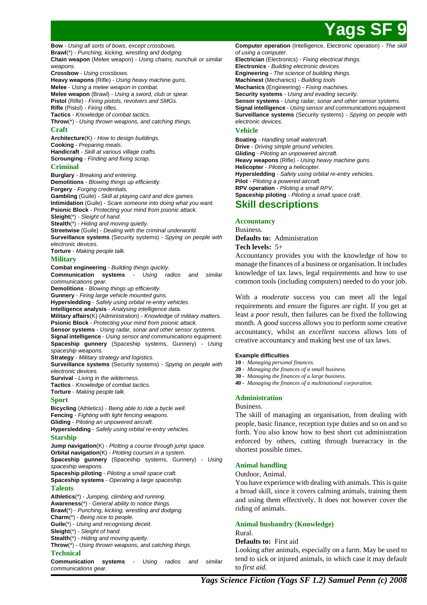

**Bow** - Using all sorts of bows, except crossbows. **Brawl**(\*) - Punching, kicking, wrestling and dodging.

**Chain weapon** (Melee weapon) - Using chains, nunchuk or similar weapons.

**Crossbow** - Using crossbows.

**Heavy weapons** (Rifle) - Using heavy machine guns. **Melee** - Using a melee weapon in combat. **Melee weapon** (Brawl) - Using a sword, club or spear.

**Pistol** (Rifle) - Firing pistols, revolvers and SMGs. **Rifle** (Pistol) - Firing rifles. **Tactics** - Knowledge of combat tactics.

**Throw**(\*) - Using thrown weapons, and catching things. **Craft**

**Architecture**(K) - How to design buildings. **Cooking** - Preparing meals. **Handicraft** - Skill at various village crafts. **Scrounging** - Finding and fixing scrap.

### **Criminal**

**Burglary** - Breaking and entering. **Demolitions** - Blowing things up efficiently. **Forgery** - Forging credentials. **Gambling** (Guile) - Skill at playing card and dice games. **Intimidation** (Guile) - Scare someone into doing what you want. **Psionic Block** - Protecting your mind from psionic attack. **Sleight**(\*) - Sleight of hand. **Stealth**<sup>\*</sup>) - Hiding and moving quietly. **Streetwise** (Guile) - Dealing with the criminal underworld. **Surveillance systems** (Security systems) - Spying on people with electronic devices.

**Torture** - Making people talk.

### **Military**

**Combat engineering** - Building things quickly. **Communication systems** - Using radios and similar communications gear. **Demolitions** - Blowing things up efficiently.

**Gunnery** - Firing large vehicle mounted guns.

**Hypersledding** - Safely using orbital re-entry vehicles.

**Intelligence analysis** - Analysing intelligence data.

**Military affairs**(K) (Administration) - Knowledge of military matters. **Psionic Block** - Protecting your mind from psionic attack.

**Sensor systems** - Using radar, sonar and other sensor systems.

**Signal intelligence** - Using sensor and communications equipment. **Spaceship gunnery** (Spaceship systems, Gunnery) - Using spaceship weapons.

**Strategy** - Military strategy and logistics.

**Surveillance systems** (Security systems) - Spying on people with electronic devices.

**Survival** - Living in the wilderness.

**Tactics** - Knowledge of combat tactics.

**Torture** - Making people talk.

## **Sport**

**Bicycling** (Athletics) - Being able to ride a bycle well. **Fencing** - Fighting with light fencing weapons. **Gliding** - Piloting an unpowered aircraft. **Hypersledding** - Safely using orbital re-entry vehicles.

#### **Starship**

**Jump navigation(K)** - Plotting a course through jump space. **Orbital navigation**(K) - Plotting courses in a system. **Spaceship gunnery** (Spaceship systems, Gunnery) - Using spaceship weapons. **Spaceship piloting** - Piloting a small space craft.

**Spaceship systems** - Operating a large spaceship.

## **Talents**

**Athletics**(\*) - Jumping, climbing and running.

**Awareness**(\*) - General ability to notice things.

**Brawl**(\*) - Punching, kicking, wrestling and dodging.

**Charm**(\*) - Being nice to people.

**Guile**(\*) - Using and recognising deceit. **Sleight**(\*) - Sleight of hand.

**Stealth**(\*) - Hiding and moving quietly.

**Throw**(\*) - Using thrown weapons, and catching things.

#### **Technical**

**Communication systems** - Using radios and similar communications gear.

**Computer operation** (Intelligence, Electronic operation) - The skill of using a computer.

**Electrician** (Electronics) - Fixing electrical things. **Electronics** - Building electronic devices. **Engineering** - The science of building things. **Machinest** (Mechanics) - Building tools **Mechanics** (Engineering) - Fixing machines. **Security systems** - Using and evading security. **Sensor systems** - Using radar, sonar and other sensor systems. **Signal intelligence** - Using sensor and communications equipment. **Surveillance systems** (Security systems) - Spying on people with electronic devices. **Vehicle**

**Boating** - Handling small watercraft. **Drive** - Driving simple ground vehicles. **Gliding** - Piloting an unpowered aircraft. **Heavy weapons** (Rifle) - Using heavy machine guns. **Helicopter** - Piloting a helicopter. **Hypersledding** - Safely using orbital re-entry vehicles. **Pilot** - Piloting a powered aircraft. **RPV operation** - Piloting a small RPV. **Spaceship piloting** - Piloting a small space craft.

## **Skill descriptions**

### **Accountancy**

Business. **Defaults to:** Administration **Tech levels:** 5+

Accountancy provides you with the knowledge of how to manage the finances of a business or organisation. It includes knowledge of tax laws, legal requirements and how to use common tools (including computers) needed to do your job.

With a *moderate* success you can meet all the legal requirements and ensure the figures are right. If you get at least a *poor* result, then failures can be fixed the following month. A *good* success allows you to perform some creative accountancy, whilst an *excellent* success allows lots of creative accountancy and making best use of tax laws.

#### **Example difficulties**

- **10** *Managing personal finances.*
- **20** *Managing the finances of a small business.*
- **30** *Managing the finances of a large business.*
- **40** *Managing the finances of a multinational corporation.*

## **Administration**

#### **Business**

The skill of managing an organisation, from dealing with people, basic finance, reception type duties and so on and so forth. You also know how to best short cut administration enforced by others, cutting through bureacracy in the shortest possible times.

## **Animal handling**

#### Outdoor, Animal.

You have experience with dealing with animals. This is quite a broad skill, since it covers calming animals, training them and using them effectively. It does not however cover the riding of animals.

## **Animal husbandry (Knowledge)**

## Rural.

#### **Defaults to:** First aid

Looking after animals, especially on a farm. May be used to tend to sick or injured animals, in which case it may default to *first aid*.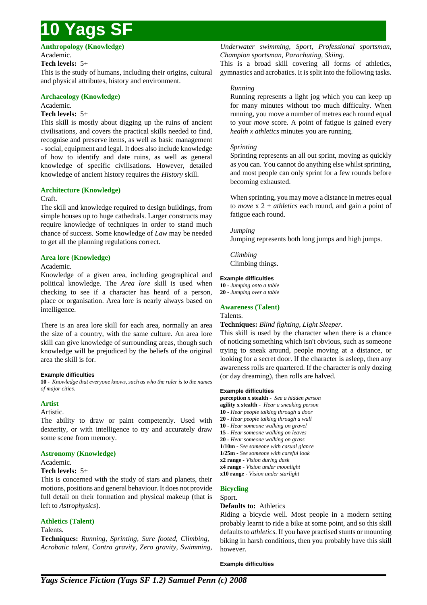**Anthropology (Knowledge)** Academic.

### **Tech levels:** 5+

This is the study of humans, including their origins, cultural and physical attributes, history and environment.

### **Archaeology (Knowledge)**

Academic.

### **Tech levels:** 5+

This skill is mostly about digging up the ruins of ancient civilisations, and covers the practical skills needed to find, recognise and preserve items, as well as basic management - social, equipment and legal. It does also include knowledge of how to identify and date ruins, as well as general knowledge of specific civilisations. However, detailed knowledge of ancient history requires the *History* skill.

## **Architecture (Knowledge)**

#### Craft.

The skill and knowledge required to design buildings, from simple houses up to huge cathedrals. Larger constructs may require knowledge of techniques in order to stand much chance of success. Some knowledge of *Law* may be needed to get all the planning regulations correct.

## **Area lore (Knowledge)**

#### Academic.

Knowledge of a given area, including geographical and political knowledge. The *Area lore* skill is used when checking to see if a character has heard of a person, place or organisation. Area lore is nearly always based on intelligence.

There is an area lore skill for each area, normally an area the size of a country, with the same culture. An area lore skill can give knowledge of surrounding areas, though such knowledge will be prejudiced by the beliefs of the original area the skill is for.

#### **Example difficulties**

**10 -** *Knowledge that everyone knows, such as who the ruler is to the names of major cities.*

### **Artist**

#### Artistic.

The ability to draw or paint competently. Used with dexterity, or with intelligence to try and accurately draw some scene from memory.

## **Astronomy (Knowledge)**

#### Academic.

#### **Tech levels:** 5+

This is concerned with the study of stars and planets, their motions, positions and general behaviour. It does not provide full detail on their formation and physical makeup (that is left to *Astrophysics*).

## **Athletics (Talent)**

#### Talents.

**Techniques:** *Running, Sprinting, Sure footed, Climbing, Acrobatic talent, Contra gravity, Zero gravity, Swimming,* *Underwater swimming, Sport, Professional sportsman, Champion sportsman, Parachuting, Skiing.*

This is a broad skill covering all forms of athletics, gymnastics and acrobatics. It is split into the following tasks.

### *Running*

Running represents a light jog which you can keep up for many minutes without too much difficulty. When running, you move a number of metres each round equal to your *move* score. A point of fatigue is gained every *health x athletics* minutes you are running.

#### *Sprinting*

Sprinting represents an all out sprint, moving as quickly as you can. You cannot do anything else whilst sprinting, and most people can only sprint for a few rounds before becoming exhausted.

When sprinting, you may move a distance in metres equal to *move* x 2 + *athletics* each round, and gain a point of fatigue each round.

#### *Jumping*

Jumping represents both long jumps and high jumps.

*Climbing* Climbing things.

#### **Example difficulties**

**10 -** *Jumping onto a table* **20 -** *Jumping over a table*

#### **Awareness (Talent)** Talents.

**Techniques:** *Blind fighting, Light Sleeper.*

This skill is used by the character when there is a chance of noticing something which isn't obvious, such as someone trying to sneak around, people moving at a distance, or looking for a secret door. If the character is asleep, then any awareness rolls are quartered. If the character is only dozing (or day dreaming), then rolls are halved.

#### **Example difficulties**

**perception x stealth -** *See a hidden person* **agility x stealth -** *Hear a sneaking person* **10 -** *Hear people talking through a door* **20 -** *Hear people talking through a wall* **10 -** *Hear someone walking on gravel* **15 -** *Hear someone walking on leaves* **20 -** *Hear someone walking on grass* **1/10m -** *See someone with casual glance* **1/25m -** *See someone with careful look* **x2 range -** *Vision during dusk* **x4 range -** *Vision under moonlight* **x10 range -** *Vision under starlight*

## **Bicycling**

Sport.

### **Defaults to:** Athletics

Riding a bicycle well. Most people in a modern setting probably learnt to ride a bike at some point, and so this skill defaults to *athletics*. If you have practised stunts or mounting biking in harsh conditions, then you probably have this skill however.

#### **Example difficulties**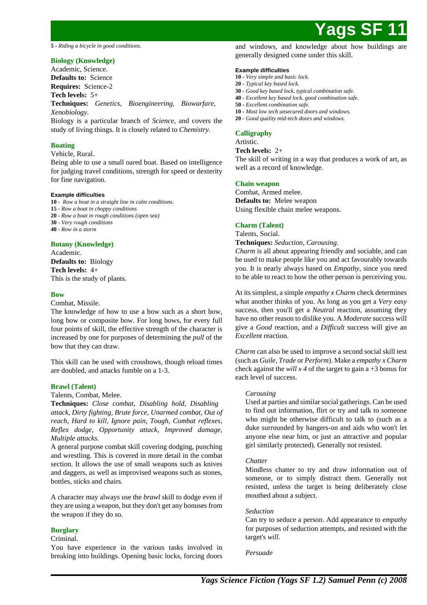**5 -** *Riding a bicycle in good conditions.*

## **Biology (Knowledge)**

Academic, Science. **Defaults to:** Science **Requires:** Science-2

## **Tech levels:** 5+

**Techniques:** *Genetics, Bioengineering, Biowarfare, Xenobiology.*

Biology is a particular branch of *Science*, and covers the study of living things. It is closely related to *Chemistry*.

#### **Boating**

## Vehicle, Rural.

Being able to use a small oared boat. Based on intelligence for judging travel conditions, strength for speed or dexterity for fine navigation.

#### **Example difficulties**

**10 -** *Row a boat in a straight line in calm conditions.*

**15 -** *Row a boat in choppy conditions*

**20 -** *Row a boat in rough conditions (open sea)*

- **30** *Very rough conditions*
- **40** *Row in a storm*

#### **Botany (Knowledge)**

Academic. **Defaults to:** Biology **Tech levels:** 4+ This is the study of plants.

#### **Bow**

#### Combat, Missile.

The knowledge of how to use a bow such as a short bow, long bow or composite bow. For long bows, for every full four points of skill, the effective strength of the character is increased by one for purposes of determining the *pull* of the bow that they can draw.

This skill can be used with crossbows, though reload times are doubled, and attacks fumble on a 1-3.

#### **Brawl (Talent)**

Talents, Combat, Melee.

**Techniques:** *Close combat, Disabling hold, Disabling attack, Dirty fighting, Brute force, Unarmed combat, Out of reach, Hard to kill, Ignore pain, Tough, Combat reflexes, Reflex dodge, Opportunity attack, Improved damage, Multiple attacks.*

A general purpose combat skill covering dodging, punching and wrestling. This is covered in more detail in the combat section. It allows the use of small weapons such as knives and daggers, as well as improvised weapons such as stones, bottles, sticks and chairs.

A character may always use the *brawl* skill to dodge even if they are using a weapon, but they don't get any bonuses from the weapon if they do so.

#### **Burglary**

#### Criminal.

You have experience in the various tasks involved in breaking into buildings. Opening basic locks, forcing doors and windows, and knowledge about how buildings are generally designed come under this skill.

#### **Example difficulties**

- **10** *Very simple and basic lock.*
- **20** *Typical key based lock.*
- **30** *Good key based lock, typical combination safe.*
- **40** *Excellent key based lock, good combination safe.*
- **50** *Excellent combination safe.*
- **10** *Most low tech unsecured doors and windows.*
- **20** *Good quality mid-tech doors and windows.*

## **Calligraphy**

Artistic.

**Tech levels:** 2+ The skill of writing in a way that produces a work of art, as well as a record of knowledge.

#### **Chain weapon**

Combat, Armed melee. **Defaults to:** Melee weapon Using flexible chain melee weapons.

#### **Charm (Talent)**

Talents, Social.

**Techniques:** *Seduction, Carousing.*

*Charm* is all about appearing friendly and sociable, and can be used to make people like you and act favourably towards you. It is nearly always based on *Empathy*, since you need to be able to react to how the other person is perceiving you.

At its simplest, a simple *empathy x Charm* check determines what another thinks of you. As long as you get a *Very easy* success, then you'll get a *Neutral* reaction, assuming they have no other reason to dislike you. A *Moderate* success will give a *Good* reaction, and a *Difficult* success will give an *Excellent* reaction.

*Charm* can also be used to improve a second social skill test (such as *Guile*, *Trade* or *Perform*). Make a *empathy x Charm* check against the *will x 4* of the target to gain a  $+3$  bonus for each level of success.

#### *Carousing*

Used at parties and similar social gatherings. Can be used to find out information, flirt or try and talk to someone who might be otherwise difficult to talk to (such as a duke surrounded by hangers-on and aids who won't let anyone else near him, or just an attractive and popular girl similarly protected). Generally not resisted.

#### *Chatter*

Mindless chatter to try and draw information out of someone, or to simply distract them. Generally not resisted, unless the target is being deliberately close mouthed about a subject.

#### *Seduction*

Can try to seduce a person. Add appearance to *empathy* for purposes of seduction attempts, and resisted with the target's *will*.

*Persuade*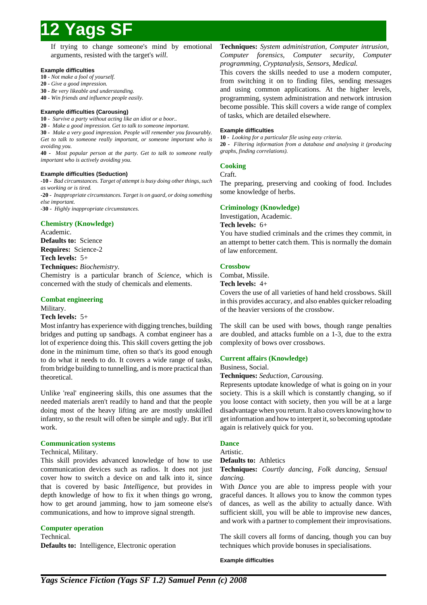If trying to change someone's mind by emotional arguments, resisted with the target's *will*.

#### **Example difficulties**

**10 -** *Not make a fool of yourself.*

- **20** *Give a good impression.*
- **30** *Be very likeable and understanding.*

**40 -** *Win friends and influence people easily.*

#### **Example difficulties (Carousing)**

**10 -** *Survive a party without acting like an idiot or a boor..*

**20 -** *Make a good impression. Get to talk to someone important.*

**30 -** *Make a very good impression. People will remember you favourably. Get to talk to someone really important, or someone important who is avoiding you.*

**40 -** *Most popular person at the party. Get to talk to someone really important who is actively avoiding you.*

#### **Example difficulties (Seduction)**

**-10 -** *Bad circumstances. Target of attempt is busy doing other things, such as working or is tired.* **-20 -** *Inappropriate circumstances. Target is on guard, or doing something else important.*

**-30 -** *Highly inappropriate circumstances.*

## **Chemistry (Knowledge)**

Academic. **Defaults to:** Science **Requires:** Science-2 **Tech levels:** 5+ **Techniques:** *Biochemistry.*

Chemistry is a particular branch of *Science*, which is concerned with the study of chemicals and elements.

### **Combat engineering**

Military.

#### **Tech levels:** 5+

Most infantry has experience with digging trenches, building bridges and putting up sandbags. A combat engineer has a lot of experience doing this. This skill covers getting the job done in the minimum time, often so that's its good enough to do what it needs to do. It covers a wide range of tasks, from bridge building to tunnelling, and is more practical than theoretical.

Unlike 'real' engineering skills, this one assumes that the needed materials aren't readily to hand and that the people doing most of the heavy lifting are are mostly unskilled infantry, so the result will often be simple and ugly. But it'll work.

#### **Communication systems**

#### Technical, Military.

This skill provides advanced knowledge of how to use communication devices such as radios. It does not just cover how to switch a device on and talk into it, since that is covered by basic *Intelligence*, but provides in depth knowledge of how to fix it when things go wrong, how to get around jamming, how to jam someone else's communications, and how to improve signal strength.

#### **Computer operation**

Technical.

**Defaults to:** Intelligence, Electronic operation

**Techniques:** *System administration, Computer intrusion, Computer forensics, Computer security, Computer programming, Cryptanalysis, Sensors, Medical.*

This covers the skills needed to use a modern computer, from switching it on to finding files, sending messages and using common applications. At the higher levels, programming, system administration and network intrusion become possible. This skill covers a wide range of complex of tasks, which are detailed elsewhere.

#### **Example difficulties**

**10 -** *Looking for a particular file using easy criteria.* **20 -** *Filtering information from a database and analysing it (producing graphs, finding correlations).*

## **Cooking**

#### Craft.

The preparing, preserving and cooking of food. Includes some knowledge of herbs.

## **Criminology (Knowledge)**

Investigation, Academic. **Tech levels:** 6+

You have studied criminals and the crimes they commit, in an attempt to better catch them. This is normally the domain of law enforcement.

### **Crossbow**

Combat, Missile.

**Tech levels:** 4+

Covers the use of all varieties of hand held crossbows. Skill in this provides accuracy, and also enables quicker reloading of the heavier versions of the crossbow.

The skill can be used with bows, though range penalties are doubled, and attacks fumble on a 1-3, due to the extra complexity of bows over crossbows.

#### **Current affairs (Knowledge)**

#### Business, Social.

**Techniques:** *Seduction, Carousing.*

Represents uptodate knowledge of what is going on in your society. This is a skill which is constantly changing, so if you loose contact with society, then you will be at a large disadvantage when you return. It also covers knowing how to get information and how to interpret it, so becoming uptodate again is relatively quick for you.

## **Dance**

## Artistic.

**Defaults to:** Athletics

**Techniques:** *Courtly dancing, Folk dancing, Sensual dancing.*

With *Dance* you are able to impress people with your graceful dances. It allows you to know the common types of dances, as well as the ability to actually dance. With sufficient skill, you will be able to improvise new dances, and work with a partner to complement their improvisations.

The skill covers all forms of dancing, though you can buy techniques which provide bonuses in specialisations.

#### **Example difficulties**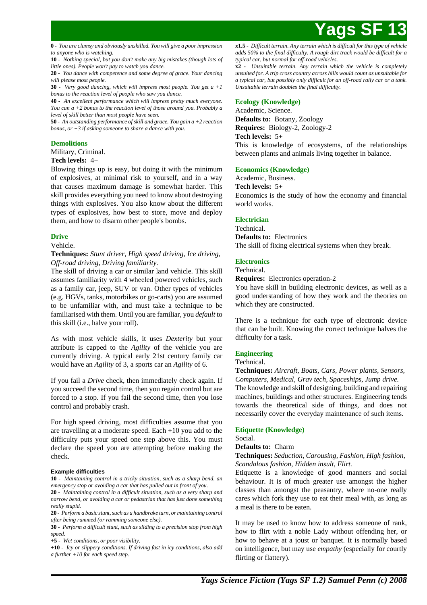**0 -** *You are clumsy and obviously unskilled. You will give a poor impression to anyone who is watching.*

**10 -** *Nothing special, but you don't make any big mistakes (though lots of little ones). People won't pay to watch you dance.*

**20 -** *You dance with competence and some degree of grace. Your dancing will please most people.*

**30 -** *Very good dancing, which will impress most people. You get a +1 bonus to the reaction level of people who saw you dance.*

**40 -** *An excellent performance which will impress pretty much everyone. You can a +2 bonus to the reaction level of those around you. Probably a level of skill better than most people have seen.*

**50 -** *An outstanding performance of skill and grace. You gain a +2 reaction bonus, or +3 if asking someone to share a dance with you.*

## **Demolitions**

Military, Criminal.

### **Tech levels:** 4+

Blowing things up is easy, but doing it with the minimum of explosives, at minimal risk to yourself, and in a way that causes maximum damage is somewhat harder. This skill provides everything you need to know about destroying things with explosives. You also know about the different types of explosives, how best to store, move and deploy them, and how to disarm other people's bombs.

## **Drive**

Vehicle.

**Techniques:** *Stunt driver, High speed driving, Ice driving, Off-road driving, Driving familiarity.*

The skill of driving a car or similar land vehicle. This skill assumes familiarity with 4 wheeled powered vehicles, such as a family car, jeep, SUV or van. Other types of vehicles (e.g. HGVs, tanks, motorbikes or go-carts) you are assumed to be unfamiliar with, and must take a technique to be familiarised with them. Until you are familiar, you *default* to this skill (i.e., halve your roll).

As with most vehicle skills, it uses *Dexterity* but your attribute is capped to the *Agility* of the vehicle you are currently driving. A typical early 21st century family car would have an *Agility* of 3, a sports car an *Agility* of 6.

If you fail a *Drive* check, then immediately check again. If you succeed the second time, then you regain control but are forced to a stop. If you fail the second time, then you lose control and probably crash.

For high speed driving, most difficulties assume that you are travelling at a moderate speed. Each +10 you add to the difficulty puts your speed one step above this. You must declare the speed you are attempting before making the check.

#### **Example difficulties**

**10 -** *Maintaining control in a tricky situation, such as a sharp bend, an emergency stop or avoiding a car that has pulled out in front of you.*

**20 -** *Maintaining control in a difficult situation, such as a very sharp and narrow bend, or avoiding a car or pedastrian that has just done something really stupid.*

**20 -** *Perform a basic stunt, such as a handbrake turn, or maintaining control after being rammed (or ramming someone else).*

**30 -** *Perform a difficult stunt, such as sliding to a precision stop from high speed.*

**+5 -** *Wet conditions, or poor visibility.*

**+10 -** *Icy or slippery conditions. If driving fast in icy conditions, also add a further +10 for each speed step.*

**x1.5 -** *Difficult terrain. Any terrain which is difficult for this type of vehicle adds 50% to the final difficulty. A rough dirt track would be difficult for a typical car, but normal for off-road vehicles.*

**x2 -** *Unsuitable terrain. Any terrain which the vehicle is completely unsuited for. A trip cross country across hills would count as unsuitable for a typical car, but possibly only difficult for an off-road rally car or a tank. Unsuitable terrain doubles the final difficulty.*

### **Ecology (Knowledge)**

Academic, Science. **Defaults to:** Botany, Zoology **Requires:** Biology-2, Zoology-2 **Tech levels:** 5+ This is knowledge of ecosystems, of the relationships between plants and animals living together in balance.

### **Economics (Knowledge)**

Academic, Business.

**Tech levels:** 5+

Economics is the study of how the economy and financial world works.

## **Electrician**

Technical. **Defaults to:** Electronics The skill of fixing electrical systems when they break.

## **Electronics**

Technical.

**Requires:** Electronics operation-2

You have skill in building electronic devices, as well as a good understanding of how they work and the theories on which they are constructed.

There is a technique for each type of electronic device that can be built. Knowing the correct technique halves the difficulty for a task.

## **Engineering**

#### Technical.

**Techniques:** *Aircraft, Boats, Cars, Power plants, Sensors, Computers, Medical, Grav tech, Spaceships, Jump drive.* The knowledge and skill of designing, building and repairing machines, buildings and other structures. Engineering tends towards the theoretical side of things, and does not necessarily cover the everyday maintenance of such items.

## **Etiquette (Knowledge)**

## Social.

**Defaults to:** Charm

## **Techniques:** *Seduction, Carousing, Fashion, High fashion, Scandalous fashion, Hidden insult, Flirt.*

Etiquette is a knowledge of good manners and social behaviour. It is of much greater use amongst the higher classes than amongst the peasantry, where no-one really cares which fork they use to eat their meal with, as long as a meal is there to be eaten.

It may be used to know how to address someone of rank, how to flirt with a noble Lady without offending her, or how to behave at a joust or banquet. It is normally based on intelligence, but may use *empathy* (especially for courtly flirting or flattery).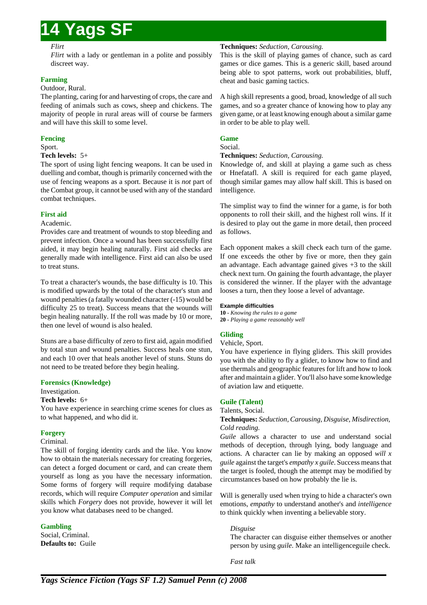#### *Flirt*

*Flirt* with a lady or gentleman in a polite and possibly discreet way.

## **Farming**

### Outdoor, Rural.

The planting, caring for and harvesting of crops, the care and feeding of animals such as cows, sheep and chickens. The majority of people in rural areas will of course be farmers and will have this skill to some level.

## **Fencing**

## Sport.

## **Tech levels:** 5+

The sport of using light fencing weapons. It can be used in duelling and combat, though is primarily concerned with the use of fencing weapons as a sport. Because it is *not* part of the Combat group, it cannot be used with any of the standard combat techniques.

## **First aid**

### Academic.

Provides care and treatment of wounds to stop bleeding and prevent infection. Once a wound has been successfully first aided, it may begin healing naturally. First aid checks are generally made with intelligence. First aid can also be used to treat stuns.

To treat a character's wounds, the base difficulty is 10. This is modified upwards by the total of the character's stun and wound penalties (a fatally wounded character (-15) would be difficulty 25 to treat). Success means that the wounds will begin healing naturally. If the roll was made by 10 or more, then one level of wound is also healed.

Stuns are a base difficulty of zero to first aid, again modified by total stun and wound penalties. Success heals one stun, and each 10 over that heals another level of stuns. Stuns do not need to be treated before they begin healing.

## **Forensics (Knowledge)**

Investigation.

## **Tech levels:** 6+

You have experience in searching crime scenes for clues as to what happened, and who did it.

## **Forgery**

## Criminal.

The skill of forging identity cards and the like. You know how to obtain the materials necessary for creating forgeries, can detect a forged document or card, and can create them yourself as long as you have the necessary information. Some forms of forgery will require modifying database records, which will require *Computer operation* and similar skills which *Forgery* does not provide, however it will let you know what databases need to be changed.

## **Gambling**

Social, Criminal. **Defaults to:** Guile

## **Techniques:** *Seduction, Carousing.*

This is the skill of playing games of chance, such as card games or dice games. This is a generic skill, based around being able to spot patterns, work out probabilities, bluff, cheat and basic gaming tactics.

A high skill represents a good, broad, knowledge of all such games, and so a greater chance of knowing how to play any given game, or at least knowing enough about a similar game in order to be able to play well.

## **Game**

#### Social.

### **Techniques:** *Seduction, Carousing.*

Knowledge of, and skill at playing a game such as chess or Hnefatafl. A skill is required for each game played, though similar games may allow half skill. This is based on intelligence.

The simplist way to find the winner for a game, is for both opponents to roll their skill, and the highest roll wins. If it is desired to play out the game in more detail, then proceed as follows.

Each opponent makes a skill check each turn of the game. If one exceeds the other by five or more, then they gain an advantage. Each advantage gained gives +3 to the skill check next turn. On gaining the fourth advantage, the player is considered the winner. If the player with the advantage looses a turn, then they loose a level of advantage.

#### **Example difficulties**

**10 -** *Knowing the rules to a game* **20 -** *Playing a game reasonably well*

## **Gliding**

Vehicle, Sport.

You have experience in flying gliders. This skill provides you with the ability to fly a glider, to know how to find and use thermals and geographic features for lift and how to look after and maintain a glider. You'll also have some knowledge of aviation law and etiquette.

## **Guile (Talent)**

Talents, Social.

## **Techniques:** *Seduction, Carousing, Disguise, Misdirection, Cold reading.*

*Guile* allows a character to use and understand social methods of deception, through lying, body language and actions. A character can lie by making an opposed *will x guile* against the target's *empathy x guile*. Success means that the target is fooled, though the attempt may be modified by circumstances based on how probably the lie is.

Will is generally used when trying to hide a character's own emotions, *empathy* to understand another's and *intelligence* to think quickly when inventing a believable story.

## *Disguise*

The character can disguise either themselves or another person by using *guile*. Make an intelligenceguile check.

*Fast talk*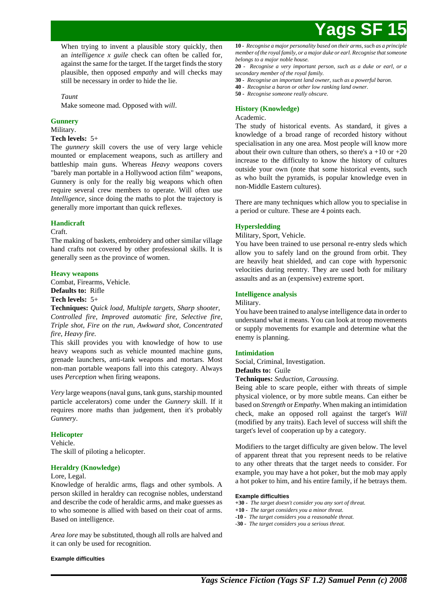

When trying to invent a plausible story quickly, then an *intelligence x guile* check can often be called for, against the same for the target. If the target finds the story plausible, then opposed *empathy* and will checks may still be necessary in order to hide the lie.

#### *Taunt*

Make someone mad. Opposed with *will*.

### **Gunnery**

Military.

### **Tech levels:** 5+

The *gunnery* skill covers the use of very large vehicle mounted or emplacement weapons, such as artillery and battleship main guns. Whereas *Heavy weapons* covers "barely man portable in a Hollywood action film" weapons, Gunnery is only for the really big weapons which often require several crew members to operate. Will often use *Intelligence*, since doing the maths to plot the trajectory is generally more important than quick reflexes.

#### **Handicraft**

Craft.

The making of baskets, embroidery and other similar village hand crafts not covered by other professional skills. It is generally seen as the province of women.

#### **Heavy weapons**

Combat, Firearms, Vehicle. **Defaults to:** Rifle **Tech levels:** 5+

**Techniques:** *Quick load, Multiple targets, Sharp shooter, Controlled fire, Improved automatic fire, Selective fire, Triple shot, Fire on the run, Awkward shot, Concentrated fire, Heavy fire.*

This skill provides you with knowledge of how to use heavy weapons such as vehicle mounted machine guns, grenade launchers, anti-tank weapons and mortars. Most non-man portable weapons fall into this category. Always uses *Perception* when firing weapons.

*Very* large weapons (naval guns, tank guns, starship mounted particle accelerators) come under the *Gunnery* skill. If it requires more maths than judgement, then it's probably *Gunnery*.

#### **Helicopter**

Vehicle. The skill of piloting a helicopter.

#### **Heraldry (Knowledge)**

#### Lore, Legal.

Knowledge of heraldic arms, flags and other symbols. A person skilled in heraldry can recognise nobles, understand and describe the code of heraldic arms, and make guesses as to who someone is allied with based on their coat of arms. Based on intelligence.

*Area lore* may be substituted, though all rolls are halved and it can only be used for recognition.

#### **Example difficulties**

**10 -** *Recognise a major personality based on their arms, such as a principle member of the royal family, or a major duke or earl. Recognise that someone belongs to a major noble house.*

**20 -** *Recognise a very important person, such as a duke or earl, or a secondary member of the royal family.*

- **30** *Recognise an important land owner, such as a powerful baron.*
- **40** *Recognise a baron or other low ranking land owner.*
- **50** *Recognise someone really obscure.*

#### **History (Knowledge)**

#### Academic.

The study of historical events. As standard, it gives a knowledge of a broad range of recorded history without specialisation in any one area. Most people will know more about their own culture than others, so there's  $a + 10$  or  $+20$ increase to the difficulty to know the history of cultures outside your own (note that some historical events, such as who built the pyramids, is popular knowledge even in non-Middle Eastern cultures).

There are many techniques which allow you to specialise in a period or culture. These are 4 points each.

#### **Hypersledding**

Military, Sport, Vehicle.

You have been trained to use personal re-entry sleds which allow you to safely land on the ground from orbit. They are heavily heat shielded, and can cope with hypersonic velocities during reentry. They are used both for military assaults and as an (expensive) extreme sport.

### **Intelligence analysis**

Military.

You have been trained to analyse intelligence data in order to understand what it means. You can look at troop movements or supply movements for example and determine what the enemy is planning.

#### **Intimidation**

Social, Criminal, Investigation.

**Defaults to:** Guile

**Techniques:** *Seduction, Carousing.*

Being able to scare people, either with threats of simple physical violence, or by more subtle means. Can either be based on *Strength* or *Empathy*. When making an intimidation check, make an opposed roll against the target's *Will* (modified by any traits). Each level of success will shift the target's level of cooperation up by a category.

Modifiers to the target difficulty are given below. The level of apparent threat that you represent needs to be relative to any other threats that the target needs to consider. For example, you may have a hot poker, but the mob may apply a hot poker to him, and his entire family, if he betrays them.

#### **Example difficulties**

- **+30** *The target doesn't consider you any sort of threat.*
- **+10** *The target considers you a minor threat.*
- **-10** *The target considers you a reasonable threat.*
- **-30** *The target considers you a serious threat.*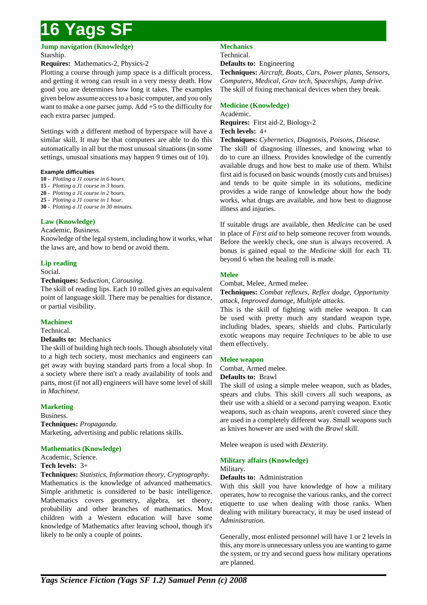**Jump navigation (Knowledge)** Starship.

## **Requires:** Mathematics-2, Physics-2

Plotting a course through jump space is a difficult process, and getting it wrong can result in a very messy death. How good you are determines how long it takes. The examples given below assume access to a basic computer, and you only want to make a one parsec jump. Add +5 to the difficulty for each extra parsec jumped.

Settings with a different method of hyperspace will have a similar skill. It may be that computers are able to do this automatically in all but the most unusual situations (in some settings, unusual situations may happen 9 times out of 10).

### **Example difficulties**

- **10** *Plotting a J1 course in 6 hours.*
- **15** *Plotting a J1 course in 3 hours.*
- **20** *Plotting a J1 course in 2 hours.*
- **25** *Plotting a J1 course in 1 hour.*
- **30** *Plotting a J1 course in 30 minutes.*

## **Law (Knowledge)**

#### Academic, Business.

Knowledge of the legal system, including how it works, what the laws are, and how to bend or avoid them.

### **Lip reading**

Social.

#### **Techniques:** *Seduction, Carousing.*

The skill of reading lips. Each 10 rolled gives an equivalent point of language skill. There may be penalties for distance, or partial visibility.

## **Machinest**

#### Technical.

#### **Defaults to:** Mechanics

The skill of building high tech tools. Though absolutely vital to a high tech society, most mechanics and engineers can get away with buying standard parts from a local shop. In a society where there isn't a ready availability of tools and parts, most (if not all) engineers will have some level of skill in *Machinest*.

## **Marketing**

Business. **Techniques:** *Propaganda.* Marketing, advertising and public relations skills.

## **Mathematics (Knowledge)**

Academic, Science.

## **Tech levels:** 3+

**Techniques:** *Statistics, Information theory, Cryptography.* Mathematics is the knowledge of advanced mathematics. Simple arithmetic is considered to be basic intelligence. Mathematics covers geometry, algebra, set theory, probability and other branches of mathematics. Most children with a Western education will have some knowledge of Mathematics after leaving school, though it's likely to be only a couple of points.

## **Mechanics**

Technical.

**Defaults to:** Engineering

**Techniques:** *Aircraft, Boats, Cars, Power plants, Sensors, Computers, Medical, Grav tech, Spaceships, Jump drive.* The skill of fixing mechanical devices when they break.

## **Medicine (Knowledge)**

Academic.

**Requires:** First aid-2, Biology-2 **Tech levels:** 4+

**Techniques:** *Cybernetics, Diagnosis, Poisons, Disease.*

The skill of diagnosing illnesses, and knowing what to do to cure an illness. Provides knowledge of the currently available drugs and how best to make use of them. Whilst first aid is focused on basic wounds (mostly cuts and bruises) and tends to be quite simple in its solutions, medicine provides a wide range of knowledge about how the body works, what drugs are available, and how best to diagnose illness and injuries.

If suitable drugs are available, then *Medicine* can be used in place of *First aid* to help someone recover from wounds. Before the weekly check, one *stun* is always recovered. A bonus is gained equal to the *Medicine* skill for each TL beyond 6 when the healing roll is made.

## **Melee**

Combat, Melee, Armed melee.

**Techniques:** *Combat reflexes, Reflex dodge, Opportunity attack, Improved damage, Multiple attacks.*

This is the skill of fighting with melee weapon. It can be used with pretty much any standard weapon type, including blades, spears, shields and clubs. Particularly exotic weapons may require *Techniques* to be able to use them effectively.

## **Melee weapon**

Combat, Armed melee.

**Defaults to:** Brawl

The skill of using a simple melee weapon, such as blades, spears and clubs. This skill covers all such weapons, as their use with a shield or a second parrying weapon. Exotic weapons, such as chain weapons, aren't covered since they are used in a completely different way. Small weapons such as knives however are used with the *Brawl* skill.

Melee weapon is used with *Dexterity*.

## **Military affairs (Knowledge)**

#### Military.

#### **Defaults to:** Administration

With this skill you have knowledge of how a military operates, how to recognise the various ranks, and the correct etiquette to use when dealing with those ranks. When dealing with military bureacracy, it may be used instead of *Administration*.

Generally, most enlisted personnel will have 1 or 2 levels in this, any more is unnecessary unless you are wanting to game the system, or try and second guess how military operations are planned.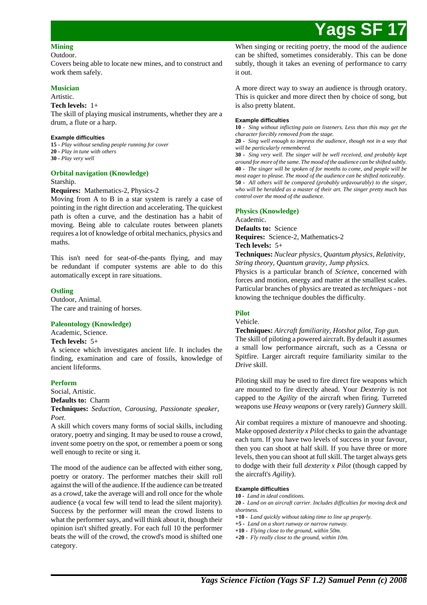### **Mining**

Outdoor.

Covers being able to locate new mines, and to construct and work them safely.

## **Musician**

### Artistic.

**Tech levels:** 1+

The skill of playing musical instruments, whether they are a drum, a flute or a harp.

### **Example difficulties**

**15 -** *Play without sending people running for cover* **20 -** *Play in tune with others* **30 -** *Play very well*

## **Orbital navigation (Knowledge)**

Starship.

## **Requires:** Mathematics-2, Physics-2

Moving from A to B in a star system is rarely a case of pointing in the right direction and accelerating. The quickest path is often a curve, and the destination has a habit of moving. Being able to calculate routes between planets requires a lot of knowledge of orbital mechanics, physics and maths.

This isn't need for seat-of-the-pants flying, and may be redundant if computer systems are able to do this automatically except in rare situations.

## **Ostling**

Outdoor, Animal. The care and training of horses.

## **Paleontology (Knowledge)**

Academic, Science.

## **Tech levels:** 5+

A science which investigates ancient life. It includes the finding, examination and care of fossils, knowledge of ancient lifeforms.

## **Perform**

Social, Artistic.

**Defaults to:** Charm

**Techniques:** *Seduction, Carousing, Passionate speaker, Poet.*

A skill which covers many forms of social skills, including oratory, poetry and singing. It may be used to rouse a crowd, invent some poetry on the spot, or remember a poem or song well enough to recite or sing it.

The mood of the audience can be affected with either song, poetry or oratory. The performer matches their skill roll against the will of the audience. If the audience can be treated as a *crowd*, take the average will and roll once for the whole audience (a vocal few will tend to lead the silent majority). Success by the performer will mean the crowd listens to what the performer says, and will think about it, though their opinion isn't shifted greatly. For each full 10 the performer beats the will of the crowd, the crowd's mood is shifted one category.

When singing or reciting poetry, the mood of the audience can be shifted, sometimes considerably. This can be done subtly, though it takes an evening of performance to carry it out.

A more direct way to sway an audience is through oratory. This is quicker and more direct then by choice of song, but is also pretty blatent.

### **Example difficulties**

**10 -** *Sing without inflicting pain on listeners. Less than this may get the character forcibly removed from the stage.*

**20 -** *Sing well enough to impress the audience, though not in a way that will be particularly remembered.*

**30 -** *Sing very well. The singer will be well received, and probably kept around for more of the same. The mood of the audience can be shifted subtly.* **40 -** *The singer will be spoken of for months to come, and people will be most eager to please. The mood of the audience can be shifted noticeably.* **50 -** *All others will be compared (probably unfavourably) to the singer, who will be heralded as a master of their art. The singer pretty much has control over the mood of the audience.*

## **Physics (Knowledge)**

Academic.

**Defaults to:** Science

**Requires:** Science-2, Mathematics-2 **Tech levels:** 5+

## **Techniques:** *Nuclear physics, Quantum physics, Relativity,*

*String theory, Quantum gravity, Jump physics.*

Physics is a particular branch of *Science*, concerned with forces and motion, energy and matter at the smallest scales. Particular branches of physics are treated as *techniques* - not knowing the technique doubles the difficulty.

## **Pilot**

Vehicle.

## **Techniques:** *Aircraft familiarity, Hotshot pilot, Top gun.*

The skill of piloting a powered aircraft. By default it assumes a small low performance aircraft, such as a Cessna or Spitfire. Larger aircraft require familiarity similar to the *Drive* skill.

Piloting skill may be used to fire direct fire weapons which are mounted to fire directly ahead. Your *Dexterity* is not capped to the *Agility* of the aircraft when firing. Turreted weapons use *Heavy weapons* or (very rarely) *Gunnery* skill.

Air combat requires a mixture of manouevre and shooting. Make opposed *dexterity x Pilot* checks to gain the advantage each turn. If you have two levels of success in your favour, then you can shoot at half skill. If you have three or more levels, then you can shoot at full skill. The target always gets to dodge with their full *dexterity x Pilot* (though capped by the aircraft's *Agility*).

#### **Example difficulties**

**10 -** *Land in ideal conditions.*

**20 -** *Land on an aircraft carrier. Includes difficulties for moving deck and shortness.*

**+10 -** *Land quickly without taking time to line up properly.*

**+5 -** *Land on a short runway or narrow runway.*

**+10 -** *Flying close to the ground, within 50m.* **+20 -** *Fly really close to the ground, within 10m.*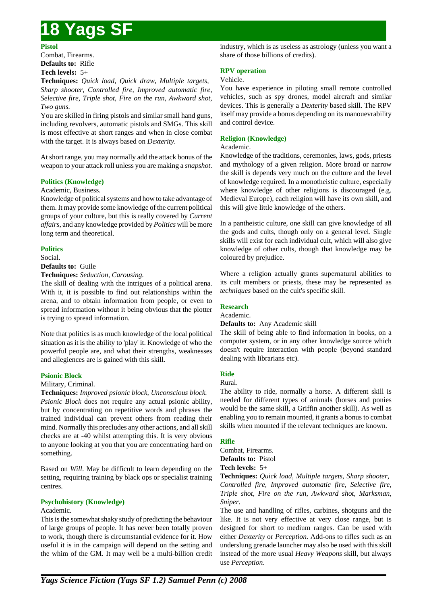### **Pistol**

Combat, Firearms. **Defaults to:** Rifle **Tech levels:** 5+

**Techniques:** *Quick load, Quick draw, Multiple targets, Sharp shooter, Controlled fire, Improved automatic fire, Selective fire, Triple shot, Fire on the run, Awkward shot, Two guns.*

You are skilled in firing pistols and similar small hand guns, including revolvers, automatic pistols and SMGs. This skill is most effective at short ranges and when in close combat with the target. It is always based on *Dexterity*.

At short range, you may normally add the attack bonus of the weapon to your attack roll unless you are making a *snapshot*.

## **Politics (Knowledge)**

Academic, Business.

Knowledge of political systems and how to take advantage of them. It may provide some knowledge of the current political groups of your culture, but this is really covered by *Current affairs*, and any knowledge provided by *Politics* will be more long term and theoretical.

## **Politics**

Social.

**Defaults to:** Guile

**Techniques:** *Seduction, Carousing.*

The skill of dealing with the intrigues of a political arena. With it, it is possible to find out relationships within the arena, and to obtain information from people, or even to spread information without it being obvious that the plotter is trying to spread information.

Note that politics is as much knowledge of the local political situation as it is the ability to 'play' it. Knowledge of who the powerful people are, and what their strengths, weaknesses and allegiences are is gained with this skill.

## **Psionic Block**

Military, Criminal.

## **Techniques:** *Improved psionic block, Unconscious block.*

*Psionic Block* does not require any actual psionic ability, but by concentrating on repetitive words and phrases the trained individual can prevent others from reading their mind. Normally this precludes any other actions, and all skill checks are at -40 whilst attempting this. It is very obvious to anyone looking at you that you are concentrating hard on something.

Based on *Will*. May be difficult to learn depending on the setting, requiring training by black ops or specialist training centres.

## **Psychohistory (Knowledge)**

#### Academic.

This is the somewhat shaky study of predicting the behaviour of large groups of people. It has never been totally proven to work, though there is circumstantial evidence for it. How useful it is in the campaign will depend on the setting and the whim of the GM. It may well be a multi-billion credit industry, which is as useless as astrology (unless you want a share of those billions of credits).

## **RPV operation**

## Vehicle.

You have experience in piloting small remote controlled vehicles, such as spy drones, model aircraft and similar devices. This is generally a *Dexterity* based skill. The RPV itself may provide a bonus depending on its manouevrability and control device.

## **Religion (Knowledge)**

### Academic.

Knowledge of the traditions, ceremonies, laws, gods, priests and mythology of a given religion. More broad or narrow the skill is depends very much on the culture and the level of knowledge required. In a monotheistic culture, especially where knowledge of other religions is discouraged (e.g. Medieval Europe), each religion will have its own skill, and this will give little knowledge of the others.

In a pantheistic culture, one skill can give knowledge of all the gods and cults, though only on a general level. Single skills will exist for each individual cult, which will also give knowledge of other cults, though that knowledge may be coloured by prejudice.

Where a religion actually grants supernatural abilities to its cult members or priests, these may be represented as *techniques* based on the cult's specific skill.

## **Research**

#### Academic.

#### **Defaults to:** Any Academic skill

The skill of being able to find information in books, on a computer system, or in any other knowledge source which doesn't require interaction with people (beyond standard dealing with librarians etc).

## **Ride**

Rural.

The ability to ride, normally a horse. A different skill is needed for different types of animals (horses and ponies would be the same skill, a Griffin another skill). As well as enabling you to remain mounted, it grants a bonus to combat skills when mounted if the relevant techniques are known.

## **Rifle**

Combat, Firearms. **Defaults to:** Pistol **Tech levels:** 5+

**Techniques:** *Quick load, Multiple targets, Sharp shooter, Controlled fire, Improved automatic fire, Selective fire, Triple shot, Fire on the run, Awkward shot, Marksman, Sniper.*

The use and handling of rifles, carbines, shotguns and the like. It is not very effective at very close range, but is designed for short to medium ranges. Can be used with either *Dexterity* or *Perception*. Add-ons to rifles such as an underslung grenade launcher may also be used with this skill instead of the more usual *Heavy Weapons* skill, but always use *Perception*.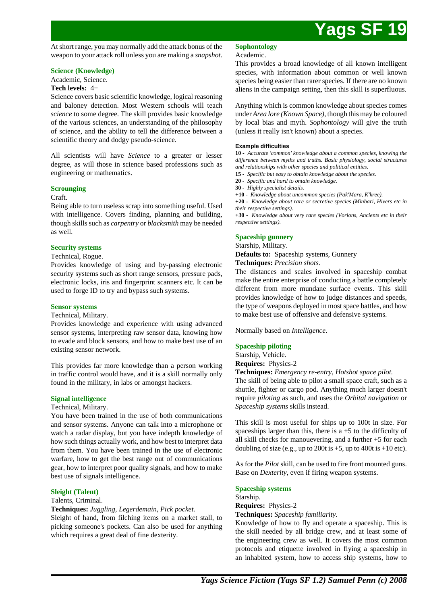At short range, you may normally add the attack bonus of the weapon to your attack roll unless you are making a *snapshot*.

#### **Science (Knowledge)**

Academic, Science.

### **Tech levels:** 4+

Science covers basic scientific knowledge, logical reasoning and baloney detection. Most Western schools will teach *science* to some degree. The skill provides basic knowledge of the various sciences, an understanding of the philosophy of science, and the ability to tell the difference between a scientific theory and dodgy pseudo-science.

All scientists will have *Science* to a greater or lesser degree, as will those in science based professions such as engineering or mathematics.

## **Scrounging**

#### Craft.

Being able to turn useless scrap into something useful. Used with intelligence. Covers finding, planning and building, though skills such as *carpentry* or *blacksmith* may be needed as well.

#### **Security systems**

#### Technical, Rogue.

Provides knowledge of using and by-passing electronic security systems such as short range sensors, pressure pads, electronic locks, iris and fingerprint scanners etc. It can be used to forge ID to try and bypass such systems.

### **Sensor systems**

Technical, Military.

Provides knowledge and experience with using advanced sensor systems, interpreting raw sensor data, knowing how to evade and block sensors, and how to make best use of an existing sensor network.

This provides far more knowledge than a person working in traffic control would have, and it is a skill normally only found in the military, in labs or amongst hackers.

## **Signal intelligence**

Technical, Military.

You have been trained in the use of both communications and sensor systems. Anyone can talk into a microphone or watch a radar display, but you have indepth knowledge of how such things actually work, and how best to interpret data from them. You have been trained in the use of electronic warfare, how to get the best range out of communications gear, how to interpret poor quality signals, and how to make best use of signals intelligence.

## **Sleight (Talent)**

#### Talents, Criminal.

**Techniques:** *Juggling, Legerdemain, Pick pocket.*

Sleight of hand, from filching items on a market stall, to picking someone's pockets. Can also be used for anything which requires a great deal of fine dexterity.

#### **Sophontology**

#### Academic.

This provides a broad knowledge of all known intelligent species, with information about common or well known species being easier than rarer species. If there are no known aliens in the campaign setting, then this skill is superfluous.

Anything which is common knowledge about species comes under *Area lore (Known Space)*, though this may be coloured by local bias and myth. *Sophontology* will give the truth (unless it really isn't known) about a species.

#### **Example difficulties**

**10 -** *Accurate 'common' knowledge about a common species, knowing the difference between myths and truths. Basic physiology, social structures and relationships with other species and political entities.*

- **15** *Specific but easy to obtain knowledge about the species.*
- **20** *Specific and hard to ontain knowledge.*
- **30** *Highly specialist details.*

**+10 -** *Knowledge about uncommon species (Pak'Mara, K'kree).*

**+20 -** *Knowledge about rare or secretive species (Minbari, Hivers etc in their respective settings).*

**+30 -** *Knowledge about very rare species (Vorlons, Ancients etc in their respective settings).*

## **Spaceship gunnery**

Starship, Military.

**Defaults to:** Spaceship systems, Gunnery

**Techniques:** *Precision shots.*

The distances and scales involved in spaceship combat make the entire enterprise of conducting a battle completely different from more mundane surface events. This skill provides knowledge of how to judge distances and speeds, the type of weapons deployed in most space battles, and how to make best use of offensive and defensive systems.

Normally based on *Intelligence*.

## **Spaceship piloting**

Starship, Vehicle.

**Requires:** Physics-2

**Techniques:** *Emergency re-entry, Hotshot space pilot.*

The skill of being able to pilot a small space craft, such as a shuttle, fighter or cargo pod. Anything much larger doesn't require *piloting* as such, and uses the *Orbital navigation* or *Spaceship systems* skills instead.

This skill is most useful for ships up to 100t in size. For spaceships larger than this, there is  $a + 5$  to the difficulty of all skill checks for manouevering, and a further +5 for each doubling of size (e.g., up to 200t is  $+5$ , up to 400t is  $+10$  etc).

As for the *Pilot* skill, can be used to fire front mounted guns. Base on *Dexterity*, even if firing weapon systems.

#### **Spaceship systems**

Starship. **Requires:** Physics-2

**Techniques:** *Spaceship familiarity.*

Knowledge of how to fly and operate a spaceship. This is the skill needed by all bridge crew, and at least some of the engineering crew as well. It covers the most common protocols and etiquette involved in flying a spaceship in an inhabited system, how to access ship systems, how to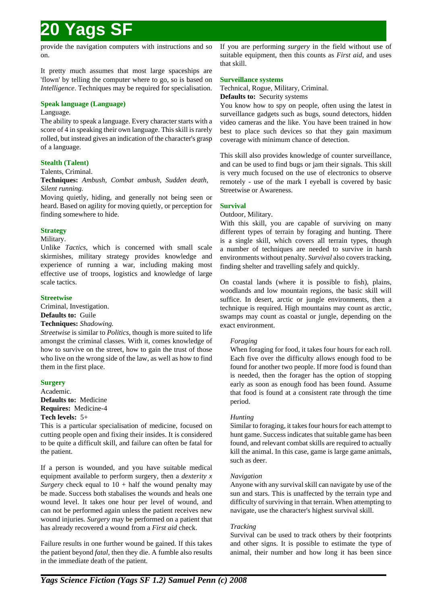provide the navigation computers with instructions and so on.

It pretty much assumes that most large spaceships are 'flown' by telling the computer where to go, so is based on *Intelligence*. Techniques may be required for specialisation.

## **Speak language (Language)**

### Language.

The ability to speak a language. Every character starts with a score of 4 in speaking their own language. This skill is rarely rolled, but instead gives an indication of the character's grasp of a language.

## **Stealth (Talent)**

### Talents, Criminal.

**Techniques:** *Ambush, Combat ambush, Sudden death, Silent running.*

Moving quietly, hiding, and generally not being seen or heard. Based on agility for moving quietly, or perception for finding somewhere to hide.

## **Strategy**

### Military.

Unlike *Tactics*, which is concerned with small scale skirmishes, military strategy provides knowledge and experience of running a war, including making most effective use of troops, logistics and knowledge of large scale tactics.

## **Streetwise**

Criminal, Investigation.

## **Defaults to:** Guile

## **Techniques:** *Shadowing.*

*Streetwise* is similar to *Politics*, though is more suited to life amongst the criminal classes. With it, comes knowledge of how to survive on the street, how to gain the trust of those who live on the wrong side of the law, as well as how to find them in the first place.

## **Surgery**

Academic. **Defaults to:** Medicine **Requires:** Medicine-4 **Tech levels:** 5+

This is a particular specialisation of medicine, focused on cutting people open and fixing their insides. It is considered to be quite a difficult skill, and failure can often be fatal for the patient.

If a person is wounded, and you have suitable medical equipment available to perform surgery, then a *dexterity x Surgery* check equal to  $10 + \text{half}$  the wound penalty may be made. Success both stabalises the wounds and heals one wound level. It takes one hour per level of wound, and can not be performed again unless the patient receives new wound injuries. *Surgery* may be performed on a patient that has already recovered a wound from a *First aid* check.

Failure results in one further wound be gained. If this takes the patient beyond *fatal*, then they die. A fumble also results in the immediate death of the patient.

If you are performing *surgery* in the field without use of suitable equipment, then this counts as *First aid*, and uses that skill.

### **Surveillance systems**

Technical, Rogue, Military, Criminal.

**Defaults to:** Security systems

You know how to spy on people, often using the latest in surveillance gadgets such as bugs, sound detectors, hidden video cameras and the like. You have been trained in how best to place such devices so that they gain maximum coverage with minimum chance of detection.

This skill also provides knowledge of counter surveillance, and can be used to find bugs or jam their signals. This skill is very much focused on the use of electronics to observe remotely - use of the mark I eyeball is covered by basic Streetwise or Awareness.

## **Survival**

Outdoor, Military.

With this skill, you are capable of surviving on many different types of terrain by foraging and hunting. There is a single skill, which covers all terrain types, though a number of techniques are needed to survive in harsh environments without penalty. *Survival* also covers tracking, finding shelter and travelling safely and quickly.

On coastal lands (where it is possible to fish), plains, woodlands and low mountain regions, the basic skill will suffice. In desert, arctic or jungle environments, then a technique is required. High mountains may count as arctic, swamps may count as coastal or jungle, depending on the exact environment.

## *Foraging*

When foraging for food, it takes four hours for each roll. Each five over the difficulty allows enough food to be found for another two people. If more food is found than is needed, then the forager has the option of stopping early as soon as enough food has been found. Assume that food is found at a consistent rate through the time period.

## *Hunting*

Similar to foraging, it takes four hours for each attempt to hunt game. Success indicates that suitable game has been found, and relevant combat skills are required to actually kill the animal. In this case, game is large game animals, such as deer.

#### *Navigation*

Anyone with any survival skill can navigate by use of the sun and stars. This is unaffected by the terrain type and difficulty of surviving in that terrain. When attempting to navigate, use the character's highest survival skill.

## *Tracking*

Survival can be used to track others by their footprints and other signs. It is possible to estimate the type of animal, their number and how long it has been since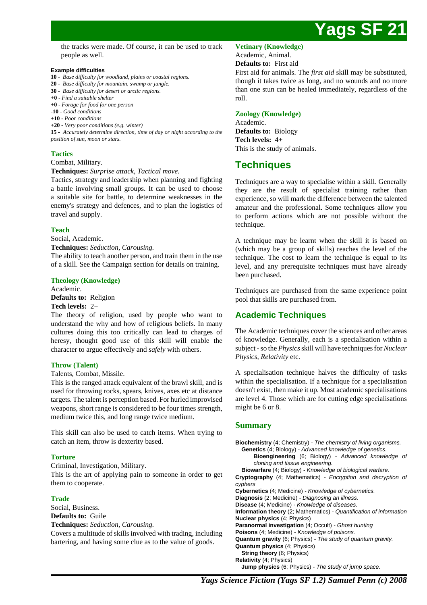

the tracks were made. Of course, it can be used to track people as well.

#### **Example difficulties**

- **10** *Base difficulty for woodland, plains or coastal regions.*
- **20** *Base difficulty for mountain, swamp or jungle.*
- **30** *Base difficulty for desert or arctic regions.* **+0 -** *Find a suitable shelter*
- **+0** *Forage for food for one person*
- **-10** *Good conditions*
- **+10** *Poor conditions*
- **+20** *Very poor conditions (e.g. winter)*

**15 -** *Accurately determine direction, time of day or night according to the position of sun, moon or stars.*

## **Tactics**

Combat, Military.

**Techniques:** *Surprise attack, Tactical move.*

Tactics, strategy and leadership when planning and fighting a battle involving small groups. It can be used to choose a suitable site for battle, to determine weaknesses in the enemy's strategy and defences, and to plan the logistics of travel and supply.

#### **Teach**

Social, Academic.

**Techniques:** *Seduction, Carousing.*

The ability to teach another person, and train them in the use of a skill. See the Campaign section for details on training.

**Theology (Knowledge)**

Academic.

**Defaults to:** Religion

#### **Tech levels:** 2+

The theory of religion, used by people who want to understand the why and how of religious beliefs. In many cultures doing this too critically can lead to charges of heresy, thought good use of this skill will enable the character to argue effectively and *safely* with others.

## **Throw (Talent)**

Talents, Combat, Missile.

This is the ranged attack equivalent of the brawl skill, and is used for throwing rocks, spears, knives, axes etc at distance targets. The talent is perception based. For hurled improvised weapons, short range is considered to be four times strength, medium twice this, and long range twice medium.

This skill can also be used to catch items. When trying to catch an item, throw is dexterity based.

## **Torture**

Criminal, Investigation, Military.

This is the art of applying pain to someone in order to get them to cooperate.

### **Trade**

Social, Business. **Defaults to:** Guile

**Techniques:** *Seduction, Carousing.*

Covers a multitude of skills involved with trading, including bartering, and having some clue as to the value of goods.

**Vetinary (Knowledge)**

Academic, Animal.

## **Defaults to:** First aid

First aid for animals. The *first aid* skill may be substituted, though it takes twice as long, and no wounds and no more than one stun can be healed immediately, regardless of the roll.

## **Zoology (Knowledge)**

Academic. **Defaults to:** Biology **Tech levels:** 4+ This is the study of animals.

## **Techniques**

Techniques are a way to specialise within a skill. Generally they are the result of specialist training rather than experience, so will mark the difference between the talented amateur and the professional. Some techniques allow you to perform actions which are not possible without the technique.

A technique may be learnt when the skill it is based on (which may be a group of skills) reaches the level of the technique. The cost to learn the technique is equal to its level, and any prerequisite techniques must have already been purchased.

Techniques are purchased from the same experience point pool that skills are purchased from.

## **Academic Techniques**

The Academic techniques cover the sciences and other areas of knowledge. Generally, each is a specialisation within a subject - so the *Physics* skill will have techniques for *Nuclear Physics*, *Relativity* etc.

A specialisation technique halves the difficulty of tasks within the specialisation. If a technique for a specialisation doesn't exist, then make it up. Most academic specialisations are level 4. Those which are for cutting edge specialisations might be 6 or 8.

## **Summary**

**Biochemistry** (4; Chemistry) - The chemistry of living organisms. **Genetics** (4; Biology) - Advanced knowledge of genetics. **Bioengineering** (6; Biology) - Advanced knowledge of cloning and tissue engineering. **Biowarfare** (4; Biology) - Knowledge of biological warfare. **Cryptography** (4; Mathematics) - Encryption and decryption of cyphers **Cybernetics** (4; Medicine) - Knowledge of cybernetics. **Diagnosis** (2; Medicine) - Diagnosing an illness. **Disease** (4; Medicine) - Knowledge of diseases. **Information theory** (2; Mathematics) - Quantification of information **Nuclear physics** (4; Physics) **Paranormal investigation** (4; Occult) - Ghost hunting **Poisons** (4; Medicine) - Knowledge of poisons. **Quantum gravity** (6; Physics) - The study of quantum gravity. **Quantum physics** (4; Physics) **String theory** (6; Physics) **Relativity** (4; Physics) **Jump physics** (6; Physics) - The study of jump space.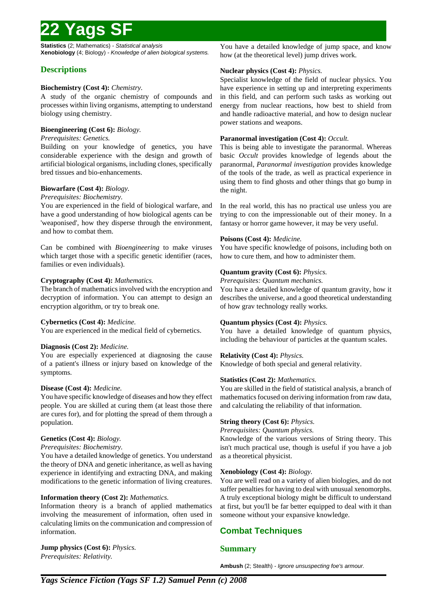**Statistics** (2; Mathematics) - Statistical analysis **Xenobiology** (4; Biology) - Knowledge of alien biological systems.

## **Descriptions**

## **Biochemistry (Cost 4):** *Chemistry.*

A study of the organic chemistry of compounds and processes within living organisms, attempting to understand biology using chemistry.

## **Bioengineering (Cost 6):** *Biology.*

## *Prerequisites: Genetics.*

Building on your knowledge of genetics, you have considerable experience with the design and growth of artificial biological organisms, including clones, specifically bred tissues and bio-enhancements.

## **Biowarfare (Cost 4):** *Biology.*

## *Prerequisites: Biochemistry.*

You are experienced in the field of biological warfare, and have a good understanding of how biological agents can be 'weaponised', how they disperse through the environment, and how to combat them.

Can be combined with *Bioengineering* to make viruses which target those with a specific genetic identifier (races, families or even individuals).

## **Cryptography (Cost 4):** *Mathematics.*

The branch of mathematics involved with the encryption and decryption of information. You can attempt to design an encryption algorithm, or try to break one.

## **Cybernetics (Cost 4):** *Medicine.*

You are experienced in the medical field of cybernetics.

## **Diagnosis (Cost 2):** *Medicine.*

You are especially experienced at diagnosing the cause of a patient's illness or injury based on knowledge of the symptoms.

## **Disease (Cost 4):** *Medicine.*

You have specific knowledge of diseases and how they effect people. You are skilled at curing them (at least those there are cures for), and for plotting the spread of them through a population.

## **Genetics (Cost 4):** *Biology.*

## *Prerequisites: Biochemistry.*

You have a detailed knowledge of genetics. You understand the theory of DNA and genetic inheritance, as well as having experience in identifying and extracting DNA, and making modifications to the genetic information of living creatures.

## **Information theory (Cost 2):** *Mathematics.*

Information theory is a branch of applied mathematics involving the measurement of information, often used in calculating limits on the communication and compression of information.

### **Jump physics (Cost 6):** *Physics. Prerequisites: Relativity.*

You have a detailed knowledge of jump space, and know how (at the theoretical level) jump drives work.

## **Nuclear physics (Cost 4):** *Physics.*

Specialist knowledge of the field of nuclear physics. You have experience in setting up and interpreting experiments in this field, and can perform such tasks as working out energy from nuclear reactions, how best to shield from and handle radioactive material, and how to design nuclear power stations and weapons.

## **Paranormal investigation (Cost 4):** *Occult.*

This is being able to investigate the paranormal. Whereas basic *Occult* provides knowledge of legends about the paranormal, *Paranormal investigation* provides knowledge of the tools of the trade, as well as practical experience in using them to find ghosts and other things that go bump in the night.

In the real world, this has no practical use unless you are trying to con the impressionable out of their money. In a fantasy or horror game however, it may be very useful.

## **Poisons (Cost 4):** *Medicine.*

You have specific knowledge of poisons, including both on how to cure them, and how to administer them.

## **Quantum gravity (Cost 6):** *Physics.*

*Prerequisites: Quantum mechanics.*

You have a detailed knowledge of quantum gravity, how it describes the universe, and a good theoretical understanding of how grav technology really works.

## **Quantum physics (Cost 4):** *Physics.*

You have a detailed knowledge of quantum physics, including the behaviour of particles at the quantum scales.

## **Relativity (Cost 4):** *Physics.*

Knowledge of both special and general relativity.

## **Statistics (Cost 2):** *Mathematics.*

You are skilled in the field of statistical analysis, a branch of mathematics focused on deriving information from raw data, and calculating the reliability of that information.

## **String theory (Cost 6):** *Physics.*

*Prerequisites: Quantum physics.*

Knowledge of the various versions of String theory. This isn't much practical use, though is useful if you have a job as a theoretical physicist.

## **Xenobiology (Cost 4):** *Biology.*

You are well read on a variety of alien biologies, and do not suffer penalties for having to deal with unusual xenomorphs. A truly exceptional biology might be difficult to understand at first, but you'll be far better equipped to deal with it than someone without your expansive knowledge.

## **Combat Techniques**

## **Summary**

**Ambush** (2; Stealth) - Ignore unsuspecting foe's armour.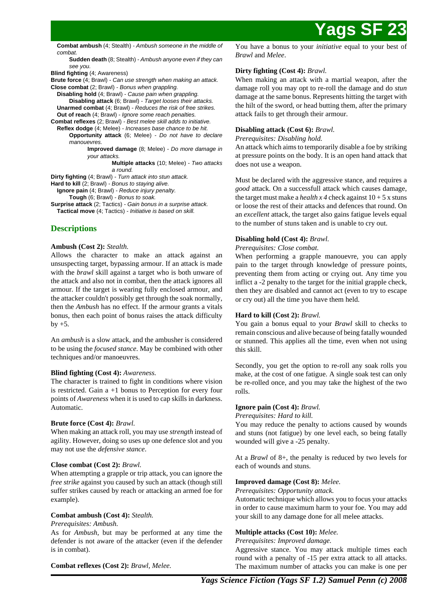**Combat ambush** (4; Stealth) - Ambush someone in the middle of combat.

**Sudden death** (8; Stealth) - Ambush anyone even if they can see you.

**Blind fighting** (4; Awareness)

**Brute force** (4; Brawl) - Can use strength when making an attack. **Close combat** (2; Brawl) - Bonus when grappling.

**Disabling hold** (4; Brawl) - Cause pain when grappling. **Disabling attack** (6; Brawl) - Target looses their attacks. **Unarmed combat** (4; Brawl) - Reduces the risk of free strikes. **Out of reach** (4; Brawl) - Ignore some reach penalties.

**Combat reflexes** (2; Brawl) - Best melee skill adds to initiative. **Reflex dodge** (4; Melee) - Increases base chance to be hit. **Opportunity attack** (6; Melee) - Do not have to declare

> manouevres. **Improved damage** (8; Melee) - Do more damage in your attacks.

**Multiple attacks** (10; Melee) - Two attacks a round.

**Dirty fighting** (4; Brawl) - Turn attack into stun attack.

Hard to kill (2; Brawl) - Bonus to staying alive.

**Ignore pain** (4; Brawl) - Reduce injury penalty.

**Tough** (6; Brawl) - Bonus to soak.

**Surprise attack** (2; Tactics) - Gain bonus in a surprise attack. **Tactical move** (4; Tactics) - Initiative is based on skill.

## **Descriptions**

### **Ambush (Cost 2):** *Stealth.*

Allows the character to make an attack against an unsuspecting target, bypassing armour. If an attack is made with the *brawl* skill against a target who is both unware of the attack and also not in combat, then the attack ignores all armour. If the target is wearing fully enclosed armour, and the attacker couldn't possibly get through the soak normally, then the *Ambush* has no effect. If the armour grants a vitals bonus, then each point of bonus raises the attack difficulty by  $+5$ .

An *ambush* is a slow attack, and the ambusher is considered to be using the *focused stance*. May be combined with other techniques and/or manoeuvres.

## **Blind fighting (Cost 4):** *Awareness.*

The character is trained to fight in conditions where vision is restricted. Gain  $a + 1$  bonus to Perception for every four points of *Awareness* when it is used to cap skills in darkness. Automatic.

## **Brute force (Cost 4):** *Brawl.*

When making an attack roll, you may use *strength* instead of agility. However, doing so uses up one defence slot and you may not use the *defensive stance*.

## **Close combat (Cost 2):** *Brawl.*

When attempting a grapple or trip attack, you can ignore the *free strike* against you caused by such an attack (though still suffer strikes caused by reach or attacking an armed foe for example).

## **Combat ambush (Cost 4):** *Stealth.*

#### *Prerequisites: Ambush.*

As for *Ambush*, but may be performed at any time the defender is not aware of the attacker (even if the defender is in combat).

**Combat reflexes (Cost 2):** *Brawl, Melee.*

You have a bonus to your *initiative* equal to your best of *Brawl* and *Melee*.

## **Dirty fighting (Cost 4):** *Brawl.*

When making an attack with a martial weapon, after the damage roll you may opt to re-roll the damage and do *stun* damage at the same bonus. Represents hitting the target with the hilt of the sword, or head butting them, after the primary attack fails to get through their armour.

## **Disabling attack (Cost 6):** *Brawl.*

*Prerequisites: Disabling hold.*

An attack which aims to temporarily disable a foe by striking at pressure points on the body. It is an open hand attack that does not use a weapon.

Must be declared with the aggressive stance, and requires a *good* attack. On a successfull attack which causes damage, the target must make a *health x 4* check against  $10 + 5x$  stuns or loose the rest of their attacks and defences that round. On an *excellent* attack, the target also gains fatigue levels equal to the number of stuns taken and is unable to cry out.

## **Disabling hold (Cost 4):** *Brawl.*

### *Prerequisites: Close combat.*

When performing a grapple manouevre, you can apply pain to the target through knowledge of pressure points, preventing them from acting or crying out. Any time you inflict a -2 penalty to the target for the initial grapple check, then they are disabled and cannot act (even to try to escape or cry out) all the time you have them held.

## **Hard to kill (Cost 2):** *Brawl.*

You gain a bonus equal to your *Brawl* skill to checks to remain conscious and alive because of being fatally wounded or stunned. This applies all the time, even when not using this skill.

Secondly, you get the option to re-roll any soak rolls you make, at the cost of one fatigue. A single soak test can only be re-rolled once, and you may take the highest of the two rolls.

## **Ignore pain (Cost 4):** *Brawl.*

*Prerequisites: Hard to kill.*

You may reduce the penalty to actions caused by wounds and stuns (not fatigue) by one level each, so being fatally wounded will give a -25 penalty.

At a *Brawl* of 8+, the penalty is reduced by two levels for each of wounds and stuns.

## **Improved damage (Cost 8):** *Melee.*

*Prerequisites: Opportunity attack.*

Automatic technique which allows you to focus your attacks in order to cause maximum harm to your foe. You may add your skill to any damage done for all melee attacks.

#### **Multiple attacks (Cost 10):** *Melee.*

*Prerequisites: Improved damage.*

Aggressive stance. You may attack multiple times each round with a penalty of -15 per extra attack to all attacks. The maximum number of attacks you can make is one per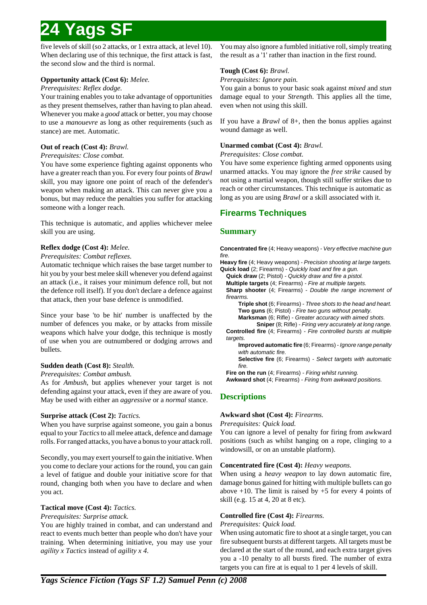five levels of skill (so 2 attacks, or 1 extra attack, at level 10). When declaring use of this technique, the first attack is fast, the second slow and the third is normal.

## **Opportunity attack (Cost 6):** *Melee.*

## *Prerequisites: Reflex dodge.*

Your training enables you to take advantage of opportunities as they present themselves, rather than having to plan ahead. Whenever you make a *good* attack or better, you may choose to use a *manouevre* as long as other requirements (such as stance) are met. Automatic.

## **Out of reach (Cost 4):** *Brawl.*

## *Prerequisites: Close combat.*

You have some experience fighting against opponents who have a greater reach than you. For every four points of *Brawl* skill, you may ignore one point of reach of the defender's weapon when making an attack. This can never give you a bonus, but may reduce the penalties you suffer for attacking someone with a longer reach.

This technique is automatic, and applies whichever melee skill you are using.

## **Reflex dodge (Cost 4):** *Melee.*

### *Prerequisites: Combat reflexes.*

Automatic technique which raises the base target number to hit you by your best melee skill whenever you defend against an attack (i.e., it raises your minimum defence roll, but not the defence roll itself). If you don't declare a defence against that attack, then your base defence is unmodified.

Since your base 'to be hit' number is unaffected by the number of defences you make, or by attacks from missile weapons which halve your dodge, this technique is mostly of use when you are outnumbered or dodging arrows and bullets.

## **Sudden death (Cost 8):** *Stealth.*

*Prerequisites: Combat ambush.*

As for *Ambush*, but applies whenever your target is not defending against your attack, even if they are aware of you. May be used with either an *aggressive* or a *normal* stance.

## **Surprise attack (Cost 2):** *Tactics.*

When you have surprise against someone, you gain a bonus equal to your *Tactics* to all melee attack, defence and damage rolls. For ranged attacks, you have a bonus to your attack roll.

Secondly, you may exert yourself to gain the initiative. When you come to declare your actions for the round, you can gain a level of fatigue and double your initiative score for that round, changing both when you have to declare and when you act.

## **Tactical move (Cost 4):** *Tactics.*

*Prerequisites: Surprise attack.*

You are highly trained in combat, and can understand and react to events much better than people who don't have your training. When determining initiative, you may use your *agility x Tactics* instead of *agility x 4*.

You may also ignore a fumbled initiative roll, simply treating the result as a '1' rather than inaction in the first round.

## **Tough (Cost 6):** *Brawl.*

## *Prerequisites: Ignore pain.*

You gain a bonus to your basic soak against *mixed* and *stun* damage equal to your *Strength*. This applies all the time, even when not using this skill.

If you have a *Brawl* of 8+, then the bonus applies against wound damage as well.

## **Unarmed combat (Cost 4):** *Brawl.*

### *Prerequisites: Close combat.*

You have some experience fighting armed opponents using unarmed attacks. You may ignore the *free strike* caused by not using a martial weapon, though still suffer strikes due to reach or other circumstances. This technique is automatic as long as you are using *Brawl* or a skill associated with it.

## **Firearms Techniques**

## **Summary**

**Concentrated fire** (4: Heavy weapons) - Very effective machine gun fire.

**Heavy fire** (4; Heavy weapons) - Precision shooting at large targets. **Quick load** (2; Firearms) - Quickly load and fire a gun.

**Quick draw** (2; Pistol) - Quickly draw and fire a pistol.

**Multiple targets** (4; Firearms) - Fire at multiple targets.

**Sharp shooter** (4; Firearms) - Double the range increment of firearms.

**Triple shot** (6; Firearms) - Three shots to the head and heart. **Two guns** (6; Pistol) - Fire two guns without penalty.

**Marksman** (6; Rifle) - Greater accuracy with aimed shots.

**Sniper** (8; Rifle) - Firing very accurately at long range. **Controlled fire** (4; Firearms) - Fire controlled bursts at multiple targets.

**Improved automatic fire** (6; Firearms) - Ignore range penalty with automatic fire.

**Selective fire** (6; Firearms) - Select targets with automatic fire.

Fire on the run (4; Firearms) - Firing whilst running.

**Awkward shot** (4; Firearms) - Firing from awkward positions.

## **Descriptions**

## **Awkward shot (Cost 4):** *Firearms.*

#### *Prerequisites: Quick load.*

You can ignore a level of penalty for firing from awkward positions (such as whilst hanging on a rope, clinging to a windowsill, or on an unstable platform).

## **Concentrated fire (Cost 4):** *Heavy weapons.*

When using a *heavy weapon* to lay down automatic fire, damage bonus gained for hitting with multiple bullets can go above  $+10$ . The limit is raised by  $+5$  for every 4 points of skill (e.g. 15 at 4, 20 at 8 etc).

## **Controlled fire (Cost 4):** *Firearms.*

#### *Prerequisites: Quick load.*

When using automatic fire to shoot at a single target, you can fire subsequent bursts at different targets. All targets must be declared at the start of the round, and each extra target gives you a -10 penalty to all bursts fired. The number of extra targets you can fire at is equal to 1 per 4 levels of skill.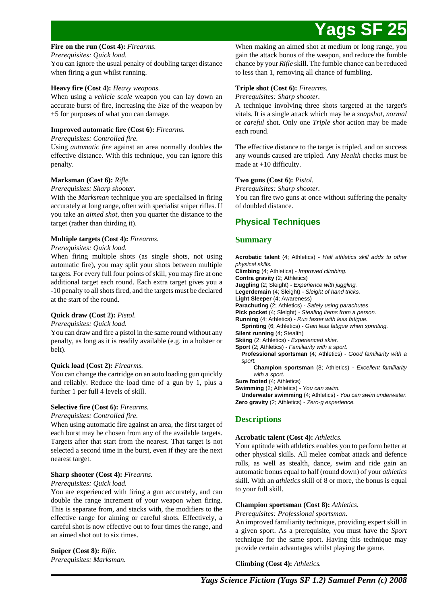### **Fire on the run (Cost 4):** *Firearms.*

*Prerequisites: Quick load.*

You can ignore the usual penalty of doubling target distance when firing a gun whilst running.

## **Heavy fire (Cost 4):** *Heavy weapons.*

When using a *vehicle scale* weapon you can lay down an accurate burst of fire, increasing the *Size* of the weapon by +5 for purposes of what you can damage.

## **Improved automatic fire (Cost 6):** *Firearms.*

### *Prerequisites: Controlled fire.*

Using *automatic fire* against an area normally doubles the effective distance. With this technique, you can ignore this penalty.

## **Marksman (Cost 6):** *Rifle.*

### *Prerequisites: Sharp shooter.*

With the *Marksman* technique you are specialised in firing accurately at long range, often with specialist sniper rifles. If you take an *aimed shot*, then you quarter the distance to the target (rather than thirding it).

## **Multiple targets (Cost 4):** *Firearms.*

## *Prerequisites: Quick load.*

When firing multiple shots (as single shots, not using automatic fire), you may split your shots between multiple targets. For every full four points of skill, you may fire at one additional target each round. Each extra target gives you a -10 penalty to all shots fired, and the targets must be declared at the start of the round.

## **Quick draw (Cost 2):** *Pistol.*

## *Prerequisites: Quick load.*

You can draw and fire a pistol in the same round without any penalty, as long as it is readily available (e.g. in a holster or belt).

## **Quick load (Cost 2):** *Firearms.*

You can change the cartridge on an auto loading gun quickly and reliably. Reduce the load time of a gun by 1, plus a further 1 per full 4 levels of skill.

## **Selective fire (Cost 6):** *Firearms.*

## *Prerequisites: Controlled fire.*

When using automatic fire against an area, the first target of each burst may be chosen from any of the available targets. Targets after that start from the nearest. That target is not selected a second time in the burst, even if they are the next nearest target.

## **Sharp shooter (Cost 4):** *Firearms.*

## *Prerequisites: Quick load.*

You are experienced with firing a gun accurately, and can double the range increment of your weapon when firing. This is separate from, and stacks with, the modifiers to the effective range for aiming or careful shots. Effectively, a careful shot is now effective out to four times the range, and an aimed shot out to six times.

**Sniper (Cost 8):** *Rifle. Prerequisites: Marksman.* When making an aimed shot at medium or long range, you gain the attack bonus of the weapon, and reduce the fumble chance by your *Rifle* skill. The fumble chance can be reduced to less than 1, removing all chance of fumbling.

## **Triple shot (Cost 6):** *Firearms.*

*Prerequisites: Sharp shooter.*

A technique involving three shots targeted at the target's vitals. It is a single attack which may be a *snapshot*, *normal* or *careful* shot. Only one *Triple shot* action may be made each round.

The effective distance to the target is tripled, and on success any wounds caused are tripled. Any *Health* checks must be made at +10 difficulty.

## **Two guns (Cost 6):** *Pistol.*

*Prerequisites: Sharp shooter.* You can fire two guns at once without suffering the penalty of doubled distance.

## **Physical Techniques**

## **Summary**

**Acrobatic talent** (4; Athletics) - Half athletics skill adds to other physical skills. **Climbing** (4; Athletics) - Improved climbing. **Contra gravity** (2; Athletics) **Juggling** (2; Sleight) - Experience with juggling. **Legerdemain** (4; Sleight) - Sleight of hand tricks. **Light Sleeper** (4; Awareness) **Parachuting** (2; Athletics) - Safely using parachutes. **Pick pocket** (4; Sleight) - Stealing items from a person. **Running** (4; Athletics) - Run faster with less fatigue. **Sprinting** (6; Athletics) - Gain less fatigue when sprinting. **Silent running** (4; Stealth) **Skiing** (2; Athletics) - Experienced skier. **Sport** (2; Athletics) - Familiarity with a sport. **Professional sportsman** (4; Athletics) - Good familiarity with a sport. **Champion sportsman** (8; Athletics) - Excellent familiarity with a sport. **Sure footed** (4; Athletics) **Swimming** (2; Athletics) - You can swim. **Underwater swimming** (4; Athletics) - You can swim underwater.

**Zero gravity** (2; Athletics) - Zero-g experience.

## **Descriptions**

## **Acrobatic talent (Cost 4):** *Athletics.*

Your aptitude with athletics enables you to perform better at other physical skills. All melee combat attack and defence rolls, as well as stealth, dance, swim and ride gain an automatic bonus equal to half (round down) of your *athletics* skill. With an *athletics* skill of 8 or more, the bonus is equal to your full skill.

## **Champion sportsman (Cost 8):** *Athletics.*

## *Prerequisites: Professional sportsman.*

An improved familiarity technique, providing expert skill in a given sport. As a prerequisite, you must have the *Sport* technique for the same sport. Having this technique may provide certain advantages whilst playing the game.

**Climbing (Cost 4):** *Athletics.*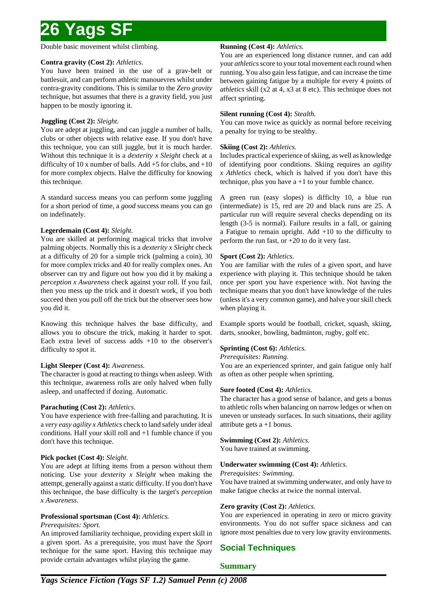Double basic movement whilst climbing.

## **Contra gravity (Cost 2):** *Athletics.*

You have been trained in the use of a grav-belt or battlesuit, and can perform athletic manouevres whilst under contra-gravity conditions. This is similar to the *Zero gravity* technique, but assumes that there is a gravity field, you just happen to be mostly ignoring it.

## **Juggling (Cost 2):** *Sleight.*

You are adept at juggling, and can juggle a number of balls, clubs or other objects with relative ease. If you don't have this technique, you can still juggle, but it is much harder. Without this technique it is a *dexterity x Sleight* check at a difficulty of 10 x number of balls. Add  $+5$  for clubs, and  $+10$ for more complex objects. Halve the difficulty for knowing this technique.

A standard success means you can perform some juggling for a short period of time, a *good* success means you can go on indefinately.

## **Legerdemain (Cost 4):** *Sleight.*

You are skilled at performing magical tricks that involve palming objects. Normally this is a *dexterity x Sleight* check at a difficulty of 20 for a simple trick (palming a coin), 30 for more complex tricks and 40 for really complex ones. An observer can try and figure out how you did it by making a *perception x Awareness* check against your roll. If you fail, then you mess up the trick and it doesn't work, if you both succeed then you pull off the trick but the observer sees how you did it.

Knowing this technique halves the base difficulty, and allows you to obscure the trick, making it harder to spot. Each extra level of success adds  $+10$  to the observer's difficulty to spot it.

## **Light Sleeper (Cost 4):** *Awareness.*

The character is good at reacting to things when asleep. With this technique, awareness rolls are only halved when fully asleep, and unaffected if dozing. Automatic.

## **Parachuting (Cost 2):** *Athletics.*

You have experience with free-falling and parachuting. It is a *very easy agility x Athletics* check to land safely under ideal conditions. Half your skill roll and +1 fumble chance if you don't have this technique.

## **Pick pocket (Cost 4):** *Sleight.*

You are adept at lifting items from a person without them noticing. Use your *dexterity x Sleight* when making the attempt, generally against a static difficulty. If you don't have this technique, the base difficulty is the target's *perception x Awareness*.

## **Professional sportsman (Cost 4):** *Athletics.*

## *Prerequisites: Sport.*

An improved familiarity technique, providing expert skill in a given sport. As a prerequisite, you must have the *Sport* technique for the same sport. Having this technique may provide certain advantages whilst playing the game.

## **Running (Cost 4):** *Athletics.*

You are an experienced long distance runner, and can add your *athletics* score to your total movement each round when running. You also gain less fatigue, and can increase the time between gaining fatigue by a multiple for every 4 points of *athletics* skill (x2 at 4, x3 at 8 etc). This technique does not affect sprinting.

## **Silent running (Cost 4):** *Stealth.*

You can move twice as quickly as normal before receiving a penalty for trying to be stealthy.

## **Skiing (Cost 2):** *Athletics.*

Includes practical experience of skiing, as well as knowledge of identifying poor conditions. Skiing requires an *agility x Athletics* check, which is halved if you don't have this technique, plus you have  $a + 1$  to your fumble chance.

A green run (easy slopes) is difficlty 10, a blue run (intermediate) is 15, red are 20 and black runs are 25. A particular run will require several checks depending on its length (3-5 is normal). Failure results in a fall, or gaining a Fatigue to remain upright. Add +10 to the difficulty to perform the run fast, or +20 to do it very fast.

## **Sport (Cost 2):** *Athletics.*

You are familiar with the rules of a given sport, and have experience with playing it. This technique should be taken once per sport you have experience with. Not having the technique means that you don't have knowledge of the rules (unless it's a very common game), and halve your skill check when playing it.

Example sports would be football, cricket, squash, skiing, darts, snooker, bowling, badminton, rugby, golf etc.

## **Sprinting (Cost 6):** *Athletics.*

*Prerequisites: Running.*

You are an experienced sprinter, and gain fatigue only half as often as other people when sprinting.

## **Sure footed (Cost 4):** *Athletics.*

The character has a good sense of balance, and gets a bonus to athletic rolls when balancing on narrow ledges or when on uneven or unsteady surfaces. In such situations, their agility attribute gets  $a + 1$  bonus.

## **Swimming (Cost 2):** *Athletics.*

You have trained at swimming.

## **Underwater swimming (Cost 4):** *Athletics.*

*Prerequisites: Swimming.*

You have trained at swimming underwater, and only have to make fatigue checks at twice the normal interval.

## **Zero gravity (Cost 2):** *Athletics.*

You are experienced in operating in zero or micro gravity environments. You do not suffer space sickness and can ignore most penalties due to very low gravity environments.

## **Social Techniques**

**Summary**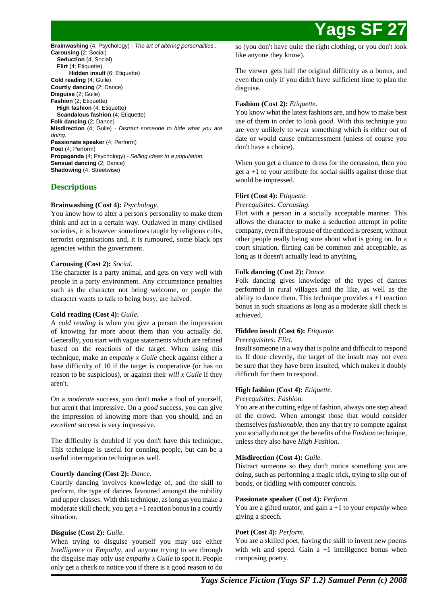**Brainwashing** (4; Psychology) - The art of altering personalities.. **Carousing** (2; Social) **Seduction** (4; Social) **Flirt** (4; Etiquette) **Hidden insult** (6; Etiquette) **Cold reading** (4; Guile) **Courtly dancing** (2; Dance) **Disguise** (2; Guile) **Fashion** (2; Etiquette) **High fashion** (4; Etiquette) **Scandalous fashion** (4; Etiquette) **Folk dancing** (2; Dance) **Misdirection** (4; Guile) - Distract someone to hide what you are doing. **Passionate speaker** (4; Perform) **Poet** (4; Perform) **Propaganda** (4; Psychology) - Selling ideas to a population. **Sensual dancing** (2; Dance) **Shadowing** (4; Streetwise)

## **Descriptions**

## **Brainwashing (Cost 4):** *Psychology.*

You know how to alter a person's personality to make them think and act in a certain way. Outlawed in many civilised societies, it is however sometimes taught by religious cults, terrorist organisations and, it is rumoured, some black ops agencies within the government.

## **Carousing (Cost 2):** *Social.*

The character is a party animal, and gets on very well with people in a party environment. Any circumstance penalties such as the character not being welcome, or people the character wants to talk to being busy, are halved.

## **Cold reading (Cost 4):** *Guile.*

A *cold reading* is when you give a person the impression of knowing far more about them than you actually do. Generally, you start with vague statements which are refined based on the reactions of the target. When using this technique, make an *empathy x Guile* check against either a base difficulty of 10 if the target is cooperative (or has no reason to be suspicious), or against their *will x Guile* if they aren't.

On a *moderate* success, you don't make a fool of yourself, but aren't that impressive. On a *good* success, you can give the impression of knowing more than you should, and an *excellent* success is very impressive.

The difficulty is doubled if you don't have this technique. This technique is useful for conning people, but can be a useful interrogation technique as well.

## **Courtly dancing (Cost 2):** *Dance.*

Courtly dancing involves knowledge of, and the skill to perform, the type of dances favoured amongst the nobility and upper classes. With this technique, as long as you make a moderate skill check, you get  $a+1$  reaction bonus in a courtly situation.

## **Disguise (Cost 2):** *Guile.*

When trying to disguise yourself you may use either *Intelligence* or *Empathy*, and anyone trying to see through the disguise may only use *empathy x Guile* to spot it. People only get a check to notice you if there is a good reason to do

so (you don't have quite the right clothing, or you don't look like anyone they know).

The viewer gets half the original difficulty as a bonus, and even then only if you didn't have sufficient time to plan the disguise.

## **Fashion (Cost 2):** *Etiquette.*

You know what the latest fashions are, and how to make best use of them in order to look *good*. With this technique you are very unlikely to wear something which is either out of date or would cause embarressment (unless of course you don't have a choice).

When you get a chance to dress for the occassion, then you get a +1 to your attribute for social skills against those that would be impressed.

## **Flirt (Cost 4):** *Etiquette.*

*Prerequisites: Carousing.*

Flirt with a person in a socially acceptable manner. This allows the character to make a seduction attempt in polite company, even if the spouse of the enticed is present, without other people really being sure about what is going on. In a court situation, flirting can be common and acceptable, as long as it doesn't actually lead to anything.

## **Folk dancing (Cost 2):** *Dance.*

Folk dancing gives knowledge of the types of dances performed in rural villages and the like, as well as the ability to dance them. This technique provides  $a + 1$  reaction bonus in such situations as long as a moderate skill check is achieved.

## **Hidden insult (Cost 6):** *Etiquette.*

## *Prerequisites: Flirt.*

Insult someone in a way that is polite and difficult to respond to. If done cleverly, the target of the insult may not even be sure that they have been insulted, which makes it doubly difficult for them to respond.

## **High fashion (Cost 4):** *Etiquette.*

#### *Prerequisites: Fashion.*

You are at the cutting edge of fashion, always one step ahead of the crowd. When amongst those that would consider themselves *fashionable*, then any that try to compete against you socially do not get the benefits of the *Fashion* technique, unless they also have *High Fashion*.

## **Misdirection (Cost 4):** *Guile.*

Distract someone so they don't notice something you are doing, such as performing a magic trick, trying to slip out of bonds, or fiddling with computer controls.

## **Passionate speaker (Cost 4):** *Perform.*

You are a gifted orator, and gain a +1 to your *empathy* when giving a speech.

## **Poet (Cost 4):** *Perform.*

You are a skilled poet, having the skill to invent new poems with wit and speed. Gain  $a +1$  intelligence bonus when composing poetry.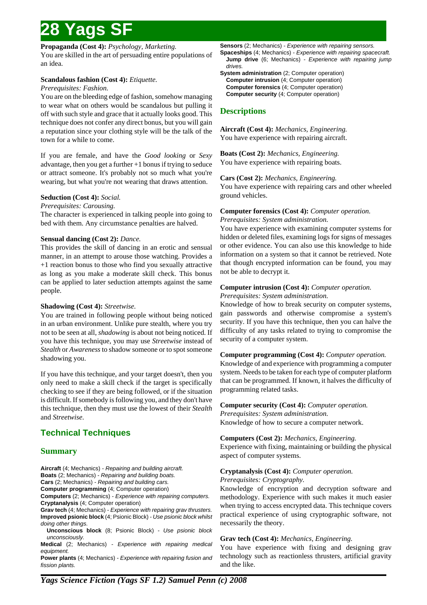**Propaganda (Cost 4):** *Psychology, Marketing.*

You are skilled in the art of persuading entire populations of an idea.

## **Scandalous fashion (Cost 4):** *Etiquette.*

## *Prerequisites: Fashion.*

You are on the bleeding edge of fashion, somehow managing to wear what on others would be scandalous but pulling it off with such style and grace that it actually looks good. This technique does not confer any direct bonus, but you will gain a reputation since your clothing style will be the talk of the town for a while to come.

If you are female, and have the *Good looking* or *Sexy* advantage, then you get a further +1 bonus if trying to seduce or attract someone. It's probably not so much what you're wearing, but what you're not wearing that draws attention.

## **Seduction (Cost 4):** *Social.*

*Prerequisites: Carousing.*

The character is experienced in talking people into going to bed with them. Any circumstance penalties are halved.

## **Sensual dancing (Cost 2):** *Dance.*

This provides the skill of dancing in an erotic and sensual manner, in an attempt to arouse those watching. Provides a +1 reaction bonus to those who find you sexually attractive as long as you make a moderate skill check. This bonus can be applied to later seduction attempts against the same people.

## **Shadowing (Cost 4):** *Streetwise.*

You are trained in following people without being noticed in an urban environment. Unlike pure stealth, where you try not to be seen at all, *shadowing* is about not being noticed. If you have this technique, you may use *Streetwise* instead of *Stealth* or *Awareness* to shadow someone or to spot someone shadowing you.

If you have this technique, and your target doesn't, then you only need to make a skill check if the target is specifically checking to see if they are being followed, or if the situation is difficult. If somebody is following you, and they don't have this technique, then they must use the lowest of their *Stealth* and *Streetwise*.

## **Technical Techniques**

## **Summary**

**Aircraft** (4; Mechanics) - Repairing and building aircraft. **Boats** (2; Mechanics) - Repairing and building boats. **Cars** (2; Mechanics) - Repairing and building cars. **Computer programming** (4; Computer operation)

**Computers** (2; Mechanics) - Experience with repairing computers. **Cryptanalysis** (4; Computer operation)

**Grav tech** (4; Mechanics) - Experience with repairing grav thrusters. **Improved psionic block** (4; Psionic Block) - Use psionic block whilst doing other things.

**Unconscious block** (8; Psionic Block) - Use psionic block unconsciously.

**Medical** (2; Mechanics) - Experience with repairing medical equipment.

**Power plants** (4; Mechanics) - Experience with repairing fusion and fission plants.

**Sensors** (2; Mechanics) - Experience with repairing sensors. **Spaceships** (4; Mechanics) - Experience with repairing spacecraft. **Jump drive** (6; Mechanics) - Experience with repairing jump

drives. **System administration** (2; Computer operation) **Computer intrusion** (4; Computer operation) **Computer forensics** (4; Computer operation) **Computer security** (4; Computer operation)

## **Descriptions**

**Aircraft (Cost 4):** *Mechanics, Engineering.* You have experience with repairing aircraft.

**Boats (Cost 2):** *Mechanics, Engineering.* You have experience with repairing boats.

**Cars (Cost 2):** *Mechanics, Engineering.*

You have experience with repairing cars and other wheeled ground vehicles.

## **Computer forensics (Cost 4):** *Computer operation.*

*Prerequisites: System administration.*

You have experience with examining computer systems for hidden or deleted files, examining logs for signs of messages or other evidence. You can also use this knowledge to hide information on a system so that it cannot be retrieved. Note that though encrypted information can be found, you may not be able to decrypt it.

## **Computer intrusion (Cost 4):** *Computer operation.*

*Prerequisites: System administration.*

Knowledge of how to break security on computer systems, gain passwords and otherwise compromise a system's security. If you have this technique, then you can halve the difficulty of any tasks related to trying to compromise the security of a computer system.

## **Computer programming (Cost 4):** *Computer operation.*

Knowledge of and experience with programming a computer system. Needs to be taken for each type of computer platform that can be programmed. If known, it halves the difficulty of programming related tasks.

## **Computer security (Cost 4):** *Computer operation.*

*Prerequisites: System administration.* Knowledge of how to secure a computer network.

## **Computers (Cost 2):** *Mechanics, Engineering.*

Experience with fixing, maintaining or building the physical aspect of computer systems.

## **Cryptanalysis (Cost 4):** *Computer operation.*

*Prerequisites: Cryptography.*

Knowledge of encryption and decryption software and methodology. Experience with such makes it much easier when trying to access encrypted data. This technique covers practical experience of using cryptographic software, not necessarily the theory.

## **Grav tech (Cost 4):** *Mechanics, Engineering.*

You have experience with fixing and designing grav technology such as reactionless thrusters, artificial gravity and the like.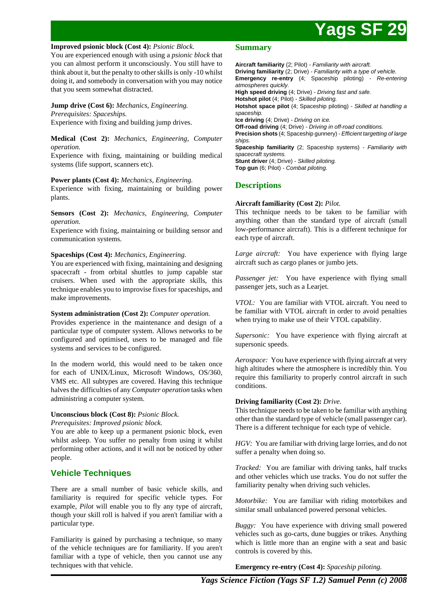#### **Improved psionic block (Cost 4):** *Psionic Block.*

You are experienced enough with using a *psionic block* that you can almost perform it unconsciously. You still have to think about it, but the penalty to other skills is only -10 whilst doing it, and somebody in conversation with you may notice that you seem somewhat distracted.

## **Jump drive (Cost 6):** *Mechanics, Engineering.*

*Prerequisites: Spaceships.* Experience with fixing and building jump drives.

### **Medical (Cost 2):** *Mechanics, Engineering, Computer operation.*

Experience with fixing, maintaining or building medical systems (life support, scanners etc).

### **Power plants (Cost 4):** *Mechanics, Engineering.*

Experience with fixing, maintaining or building power plants.

**Sensors (Cost 2):** *Mechanics, Engineering, Computer operation.*

Experience with fixing, maintaining or building sensor and communication systems.

#### **Spaceships (Cost 4):** *Mechanics, Engineering.*

You are experienced with fixing, maintaining and designing spacecraft - from orbital shuttles to jump capable star cruisers. When used with the appropriate skills, this technique enables you to improvise fixes for spaceships, and make improvements.

#### **System administration (Cost 2):** *Computer operation.*

Provides experience in the maintenance and design of a particular type of computer system. Allows networks to be configured and optimised, users to be managed and file systems and services to be configured.

In the modern world, this would need to be taken once for each of UNIX/Linux, Microsoft Windows, OS/360, VMS etc. All subtypes are covered. Having this technique halves the difficulties of any *Computer operation* tasks when administring a computer system.

## **Unconscious block (Cost 8):** *Psionic Block.*

*Prerequisites: Improved psionic block.*

You are able to keep up a permanent psionic block, even whilst asleep. You suffer no penalty from using it whilst performing other actions, and it will not be noticed by other people.

## **Vehicle Techniques**

There are a small number of basic vehicle skills, and familiarity is required for specific vehicle types. For example, *Pilot* will enable you to fly any type of aircraft, though your skill roll is halved if you aren't familiar with a particular type.

Familiarity is gained by purchasing a technique, so many of the vehicle techniques are for familiarity. If you aren't familiar with a type of vehicle, then you cannot use any techniques with that vehicle.

### **Summary**

**Aircraft familiarity** (2; Pilot) - Familiarity with aircraft. **Driving familiarity** (2; Drive) - Familiarity with a type of vehicle. **Emergency re-entry** (4; Spaceship piloting) - Re-entering atmospheres quickly. **High speed driving** (4; Drive) - Driving fast and safe. **Hotshot pilot** (4; Pilot) - Skilled piloting. **Hotshot space pilot** (4; Spaceship piloting) - Skilled at handling a spaceship. **Ice driving** (4; Drive) - Driving on ice. **Off-road driving** (4; Drive) - Driving in off-road conditions. **Precision shots** (4; Spaceship gunnery) - Efficient targetting of large ships. **Spaceship familiarity** (2; Spaceship systems) - Familiarity with spacecraft systems. Stunt driver (4; Drive) - Skilled piloting. **Top gun** (6; Pilot) - Combat piloting.

## **Descriptions**

### **Aircraft familiarity (Cost 2):** *Pilot.*

This technique needs to be taken to be familiar with anything other than the standard type of aircraft (small low-performance aircraft). This is a different technique for each type of aircraft.

*Large aircraft:* You have experience with flying large aircraft such as cargo planes or jumbo jets.

*Passenger jet:* You have experience with flying small passenger jets, such as a Learjet.

*VTOL:* You are familiar with VTOL aircraft. You need to be familiar with VTOL aircraft in order to avoid penalties when trying to make use of their VTOL capability.

*Supersonic:* You have experience with flying aircraft at supersonic speeds.

*Aerospace:* You have experience with flying aircraft at very high altitudes where the atmosphere is incredibly thin. You require this familiarity to properly control aircraft in such conditions.

#### **Driving familiarity (Cost 2):** *Drive.*

This technique needs to be taken to be familiar with anything other than the standard type of vehicle (small passenger car). There is a different technique for each type of vehicle.

*HGV:* You are familiar with driving large lorries, and do not suffer a penalty when doing so.

*Tracked:* You are familiar with driving tanks, half trucks and other vehicles which use tracks. You do not suffer the familiarity penalty when driving such vehicles.

*Motorbike:* You are familiar with riding motorbikes and similar small unbalanced powered personal vehicles.

*Buggy:* You have experience with driving small powered vehicles such as go-carts, dune buggies or trikes. Anything which is little more than an engine with a seat and basic controls is covered by this.

**Emergency re-entry (Cost 4):** *Spaceship piloting.*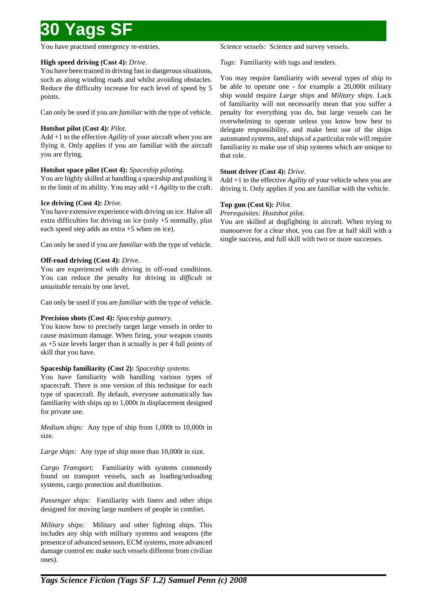You have practised emergency re-entries.

## **High speed driving (Cost 4):** *Drive.*

You have been trained in driving fast in dangerous situations, such as along winding roads and whilst avoiding obstacles. Reduce the difficulty increase for each level of speed by 5 points.

Can only be used if you are *familiar* with the type of vehicle.

## **Hotshot pilot (Cost 4):** *Pilot.*

Add +1 to the effective *Agility* of your aircraft when you are flying it. Only applies if you are familiar with the aircraft you are flying.

## **Hotshot space pilot (Cost 4):** *Spaceship piloting.*

You are highly skilled at handling a spaceship and pushing it to the limit of its ability. You may add +1 *Agility* to the craft.

## **Ice driving (Cost 4):** *Drive.*

You have extensive experience with driving on ice. Halve all extra difficulties for driving on ice (only +5 normally, plus each speed step adds an extra +5 when on ice).

Can only be used if you are *familiar* with the type of vehicle.

## **Off-road driving (Cost 4):** *Drive.*

You are experienced with driving in off-road conditions. You can reduce the penalty for driving in *difficult* or *unsuitable* terrain by one level.

Can only be used if you are *familiar* with the type of vehicle.

## **Precision shots (Cost 4):** *Spaceship gunnery.*

You know how to precisely target large vessels in order to cause maximum damage. When firing, your weapon counts as +5 size levels larger than it actually is per 4 full points of skill that you have.

## **Spaceship familiarity (Cost 2):** *Spaceship systems.*

You have familiarity with handling various types of spacecraft. There is one version of this technique for each type of spacecraft. By default, everyone automatically has familiarity with ships up to 1,000t in displacement designed for private use.

*Medium ships:* Any type of ship from 1,000t to 10,000t in size.

*Large ships:* Any type of ship more than 10,000t in size.

*Cargo Transport:* Familiarity with systems commonly found on transport vessels, such as loading/unloading systems, cargo protection and distribution.

*Passenger ships:* Familiarity with liners and other ships designed for moving large numbers of people in comfort.

*Military ships:* Military and other fighting ships. This includes any ship with military systems and weapons (the presence of advanced sensors, ECM systems, more advanced damage control etc make such vessels different from civilian ones).

*Science vessels:* Science and survey vessels.

*Tugs:* Familiarity with tugs and tenders.

You may require familiarity with several types of ship to be able to operate one - for example a 20,000t military ship would require *Large ships* and *Military ships*. Lack of familiarity will not necessarily mean that you suffer a penalty for everything you do, but large vessels can be overwhelming to operate unless you know how best to delegate responsibility, and make best use of the ships automated systems, and ships of a particular role will require familiarity to make use of ship systems which are unique to that role.

## **Stunt driver (Cost 4):** *Drive.*

Add +1 to the effective *Agility* of your vehicle when you are driving it. Only applies if you are familiar with the vehicle.

## **Top gun (Cost 6):** *Pilot.*

*Prerequisites: Hostshot pilot.*

You are skilled at dogfighting in aircraft. When trying to manouevre for a clear shot, you can fire at half skill with a single success, and full skill with two or more successes.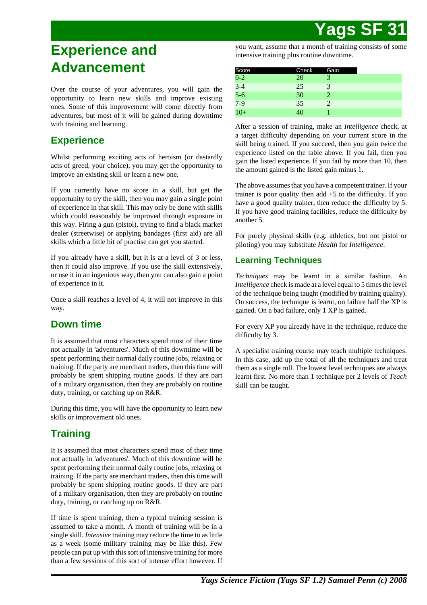# **Experience and Advancement**

Over the course of your adventures, you will gain the opportunity to learn new skills and improve existing ones. Some of this improvement will come directly from adventures, but most of it will be gained during downtime with training and learning.

# **Experience**

Whilst performing exciting acts of heroism (or dastardly acts of greed, your choice), you may get the opportunity to improve an existing skill or learn a new one.

If you currently have no score in a skill, but get the opportunity to try the skill, then you may gain a single point of experience in that skill. This may only be done with skills which could reasonably be improved through exposure in this way. Firing a gun (pistol), trying to find a black market dealer (streetwise) or applying bandages (first aid) are all skills which a little bit of practise can get you started.

If you already have a skill, but it is at a level of 3 or less, then it could also improve. If you use the skill extensively, or use it in an ingenious way, then you can also gain a point of experience in it.

Once a skill reaches a level of 4, it will not improve in this way.

# **Down time**

It is assumed that most characters spend most of their time not actually in 'adventures'. Much of this downtime will be spent performing their normal daily routine jobs, relaxing or training. If the party are merchant traders, then this time will probably be spent shipping routine goods. If they are part of a military organisation, then they are probably on routine duty, training, or catching up on R&R.

During this time, you will have the opportunity to learn new skills or improvement old ones.

# **Training**

It is assumed that most characters spend most of their time not actually in 'adventures'. Much of this downtime will be spent performing their normal daily routine jobs, relaxing or training. If the party are merchant traders, then this time will probably be spent shipping routine goods. If they are part of a military organisation, then they are probably on routine duty, training, or catching up on R&R.

If time is spent training, then a typical training session is assumed to take a month. A month of training will be in a single skill. *Intensive* training may reduce the time to as little as a week (some military training may be like this). Few people can put up with this sort of intensive training for more than a few sessions of this sort of intense effort however. If you want, assume that a month of training consists of some intensive training plus routine downtime.

| Score                   | Check | Gain |  |
|-------------------------|-------|------|--|
| $\overline{0-2}$        | 20    |      |  |
| $3-4$<br>$5-6$<br>$7-9$ | 25    | 3    |  |
|                         | 30    |      |  |
|                         | 35    |      |  |
| $10+$                   | 40    |      |  |

After a session of training, make an *Intelligence* check, at a target difficulty depending on your current score in the skill being trained. If you succeed, then you gain *twice* the experience listed on the table above. If you fail, then you gain the listed experience. If you fail by more than 10, then the amount gained is the listed gain minus 1.

The above assumes that you have a competent trainer. If your trainer is poor quality then add +5 to the difficulty. If you have a good quality trainer, then reduce the difficulty by 5. If you have good training facilities, reduce the difficulty by another 5.

For purely physical skills (e.g. athletics, but not pistol or piloting) you may substitute *Health* for *Intelligence*.

## **Learning Techniques**

*Techniques* may be learnt in a similar fashion. An *Intelligence* check is made at a level equal to 5 times the level of the technique being taught (modified by training quality). On success, the technique is learnt, on failure half the XP is gained. On a bad failure, only 1 XP is gained.

For every XP you already have in the technique, reduce the difficulty by 3.

A specialist training course may teach multiple techniques. In this case, add up the total of all the techniques and treat them as a single roll. The lowest level techniques are always learnt first. No more than 1 technique per 2 levels of *Teach* skill can be taught.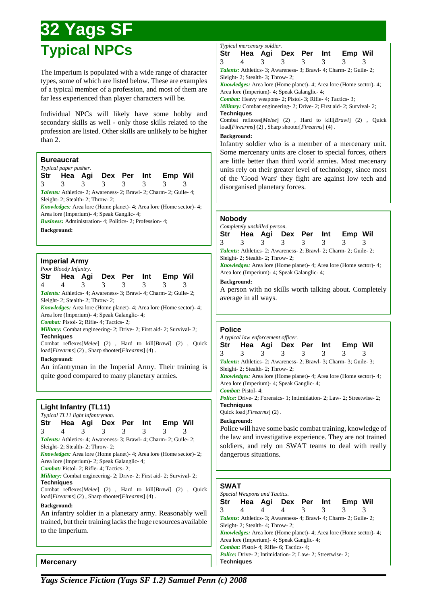# **32 Yags SF Typical NPCs**

The Imperium is populated with a wide range of character types, some of which are listed below. These are examples of a typical member of a profession, and most of them are far less experienced than player characters will be.

Individual NPCs will likely have some hobby and secondary skills as well - only those skills related to the profession are listed. Other skills are unlikely to be higher than 2.

## **Bureaucrat**

|   | Typical paper pusher.                                        |   |               |               |   |                                                                              |  |
|---|--------------------------------------------------------------|---|---------------|---------------|---|------------------------------------------------------------------------------|--|
|   |                                                              |   |               |               |   | Str Hea Agi Dex Per Int Emp Wil                                              |  |
| 3 | $\mathcal{R}$                                                | 3 | $\mathcal{R}$ | $\mathcal{R}$ | 3 |                                                                              |  |
|   |                                                              |   |               |               |   | <b>Talents:</b> Athletics-2; Awareness-2; Brawl-2; Charm-2; Guile-4;         |  |
|   | Sleight- 2; Stealth- 2; Throw- 2;                            |   |               |               |   |                                                                              |  |
|   |                                                              |   |               |               |   | <i>Knowledges:</i> Area lore (Home planet) - 4; Area lore (Home sector) - 4; |  |
|   | Area lore (Imperium) - 4; Speak Ganglic - 4;                 |   |               |               |   |                                                                              |  |
|   | <b>Business:</b> Administration-4; Politics-2; Profession-4; |   |               |               |   |                                                                              |  |
|   | <b>Background:</b>                                           |   |               |               |   |                                                                              |  |
|   |                                                              |   |               |               |   |                                                                              |  |
|   |                                                              |   |               |               |   |                                                                              |  |
|   |                                                              |   |               |               |   |                                                                              |  |

## **Imperial Army**

|   | Poor Bloody Infantry.                                                                                                                                  |        |                |                |               |                                                                                                                                                                                                                               |                                                            |
|---|--------------------------------------------------------------------------------------------------------------------------------------------------------|--------|----------------|----------------|---------------|-------------------------------------------------------------------------------------------------------------------------------------------------------------------------------------------------------------------------------|------------------------------------------------------------|
|   |                                                                                                                                                        |        |                |                |               | Str Hea Agi Dex Per Int Emp Wil                                                                                                                                                                                               |                                                            |
| 4 | 4                                                                                                                                                      | $\sim$ | $\overline{3}$ | $\overline{3}$ | $\mathcal{E}$ | 3                                                                                                                                                                                                                             | 3                                                          |
|   | Sleight-2; Stealth-2; Throw-2;<br>Area lore (Imperium)- 4; Speak Galanglic- 4;<br><b>Combat:</b> Pistol- 2; Rifle- 4; Tactics- 2;<br><b>Techniques</b> |        |                |                |               | <b>Talents:</b> Athletics-4; Awareness-3; Brawl-4; Charm-2; Guile-2;<br><i>Knowledges:</i> Area lore (Home planet) - 4; Area lore (Home sector) - 4;<br>Military: Combat engineering- 2; Drive- 2; First aid- 2; Survival- 2; | Combat reflexes[Melee] (2), Hard to kill[Brawl] (2), Quick |
|   | $load[Firearms]$ (2), Sharp shooter[ <i>Firearms</i> ] (4).<br><b>Background:</b>                                                                      |        |                |                |               |                                                                                                                                                                                                                               |                                                            |
|   | quite good compared to many planetary armies.                                                                                                          |        |                |                |               |                                                                                                                                                                                                                               | An infantryman in the Imperial Army. Their training is     |
|   | Light Infantry (TL11)<br>Typical TL11 light infantryman.<br>$P_{\text{tot}}$ $\sum_{n=1}^{\infty} P_{\text{tot}}$                                      |        |                |                | 1 a.          |                                                                                                                                                                                                                               |                                                            |

| Str                                                                                |                                                             |   | Hea Agi Dex Per Int |               |   | Emp Wil                                                                                 |                                                            |  |  |  |  |
|------------------------------------------------------------------------------------|-------------------------------------------------------------|---|---------------------|---------------|---|-----------------------------------------------------------------------------------------|------------------------------------------------------------|--|--|--|--|
| 3                                                                                  | 4                                                           | 3 | $\mathcal{E}$       | $\mathcal{E}$ | 3 | 3                                                                                       | 3                                                          |  |  |  |  |
| Talents: Athletics- 4; Awareness- 3; Brawl- 4; Charm- 2; Guile- 2;                 |                                                             |   |                     |               |   |                                                                                         |                                                            |  |  |  |  |
|                                                                                    | Sleight- 2; Stealth- 2; Throw- 2;                           |   |                     |               |   |                                                                                         |                                                            |  |  |  |  |
|                                                                                    |                                                             |   |                     |               |   | <i>Knowledges:</i> Area lore (Home planet)-4; Area lore (Home sector)-2;                |                                                            |  |  |  |  |
|                                                                                    | Area lore (Imperium) - 2; Speak Galanglic - 4;              |   |                     |               |   |                                                                                         |                                                            |  |  |  |  |
|                                                                                    | <i>Combat:</i> Pistol- 2; Rifle- 4; Tactics- 2;             |   |                     |               |   |                                                                                         |                                                            |  |  |  |  |
|                                                                                    |                                                             |   |                     |               |   | <b><i>Military:</i></b> Combat engineering - 2; Drive - 2; First aid - 2; Survival - 2; |                                                            |  |  |  |  |
|                                                                                    | <b>Techniques</b>                                           |   |                     |               |   |                                                                                         |                                                            |  |  |  |  |
|                                                                                    |                                                             |   |                     |               |   |                                                                                         | Combat reflexes[Melee] (2), Hard to kill[Brawl] (2), Quick |  |  |  |  |
|                                                                                    | $load[Firearms]$ (2), Sharp shooter[ <i>Firearms</i> ] (4). |   |                     |               |   |                                                                                         |                                                            |  |  |  |  |
|                                                                                    | <b>Background:</b>                                          |   |                     |               |   |                                                                                         |                                                            |  |  |  |  |
|                                                                                    |                                                             |   |                     |               |   |                                                                                         | An infantry soldier in a planetary army. Reasonably well   |  |  |  |  |
|                                                                                    |                                                             |   |                     |               |   |                                                                                         |                                                            |  |  |  |  |
| trained, but their training lacks the huge resources available<br>to the Imperium. |                                                             |   |                     |               |   |                                                                                         |                                                            |  |  |  |  |
|                                                                                    |                                                             |   |                     |               |   |                                                                                         |                                                            |  |  |  |  |
|                                                                                    |                                                             |   |                     |               |   |                                                                                         |                                                            |  |  |  |  |
|                                                                                    |                                                             |   |                     |               |   |                                                                                         |                                                            |  |  |  |  |

## **Mercenary**

| Typical mercenary soldier. |  |  |                                 |  |
|----------------------------|--|--|---------------------------------|--|
|                            |  |  | Str Hea Agi Dex Per Int Emp Wil |  |
|                            |  |  | 3 4 3 3 3 3 3 3                 |  |
|                            |  |  |                                 |  |

*Talents:* Athletics- 3; Awareness- 3; Brawl- 4; Charm- 2; Guile- 2; Sleight- 2; Stealth- 3; Throw- 2;

*Knowledges:* Area lore (Home planet)- 4; Area lore (Home sector)- 4; Area lore (Imperium)- 4; Speak Galanglic- 4;

*Combat:* Heavy weapons- 2; Pistol- 3; Rifle- 4; Tactics- 3;

*Military:* Combat engineering- 2; Drive- 2; First aid- 2; Survival- 2; **Techniques**

Combat reflexes[*Melee*] (2) , Hard to kill[*Brawl*] (2) , Quick load[*Firearms*] (2) , Sharp shooter[*Firearms*] (4) .

#### **Background:**

Infantry soldier who is a member of a mercenary unit. Some mercenary units are closer to special forces, others are little better than third world armies. Most mecenary units rely on their greater level of technology, since most of the 'Good Wars' they fight are against low tech and disorganised planetary forces.

## **Nobody**

|               | Completely unskilled person.                   |               |               |   |   |                                                                           |                                                         |  |
|---------------|------------------------------------------------|---------------|---------------|---|---|---------------------------------------------------------------------------|---------------------------------------------------------|--|
|               |                                                |               |               |   |   | Str Hea Agi Dex Per Int Emp Wil                                           |                                                         |  |
| $\mathcal{R}$ | 3                                              | $\mathcal{R}$ | $\mathcal{R}$ | 3 | 3 | 3                                                                         |                                                         |  |
|               |                                                |               |               |   |   | <i>Talents:</i> Athletics- 2; Awareness- 2; Brawl- 2; Charm- 2; Guile- 2; |                                                         |  |
|               | Sleight-2; Stealth-2; Throw-2;                 |               |               |   |   |                                                                           |                                                         |  |
|               |                                                |               |               |   |   | <i>Knowledges:</i> Area lore (Home planet)-4; Area lore (Home sector)-4;  |                                                         |  |
|               | Area lore (Imperium) - 4; Speak Galanglic - 4; |               |               |   |   |                                                                           |                                                         |  |
|               | <b>Background:</b>                             |               |               |   |   |                                                                           |                                                         |  |
|               |                                                |               |               |   |   |                                                                           | A person with no skills worth talking about. Completely |  |

### **Police**

average in all ways.

|                    |                                   | A typical law enforcement officer.           |  |                                                                              |                                                            |
|--------------------|-----------------------------------|----------------------------------------------|--|------------------------------------------------------------------------------|------------------------------------------------------------|
|                    |                                   |                                              |  | Str Hea Agi Dex Per Int Emp Wil                                              |                                                            |
| 3                  | $\mathcal{R}$                     | $3 \quad 3 \quad 3 \quad 3$                  |  | $\mathcal{R}$                                                                | 3                                                          |
|                    |                                   |                                              |  | Talents: Athletics-2; Awareness-2; Brawl-3; Charm-3; Guile-3;                |                                                            |
|                    | Sleight- 2; Stealth- 2; Throw- 2; |                                              |  |                                                                              |                                                            |
|                    |                                   |                                              |  | <i>Knowledges:</i> Area lore (Home planet) - 4; Area lore (Home sector) - 4; |                                                            |
|                    |                                   | Area lore (Imperium) - 4; Speak Ganglic - 4; |  |                                                                              |                                                            |
|                    | <i>Combat: Pistol-4;</i>          |                                              |  |                                                                              |                                                            |
|                    |                                   |                                              |  | <i>Police:</i> Drive-2; Forensics-1; Intimidation-2; Law-2; Streetwise-2;    |                                                            |
| <b>Techniques</b>  |                                   |                                              |  |                                                                              |                                                            |
|                    | Ouick load[ $Firearms$ ] (2).     |                                              |  |                                                                              |                                                            |
| <b>Background:</b> |                                   |                                              |  |                                                                              |                                                            |
|                    |                                   |                                              |  |                                                                              | Police will have some basic combat training, knowledge of  |
|                    |                                   |                                              |  |                                                                              | the law and investigative experience. They are not trained |
|                    |                                   |                                              |  |                                                                              |                                                            |
|                    |                                   |                                              |  |                                                                              | soldiers, and rely on SWAT teams to deal with really       |
|                    | dangerous situations.             |                                              |  |                                                                              |                                                            |
|                    |                                   |                                              |  |                                                                              |                                                            |

## **SWAT**

|            |   | Special Weapons and Tactics.   |                                                              |                |   |                                                                              |  |
|------------|---|--------------------------------|--------------------------------------------------------------|----------------|---|------------------------------------------------------------------------------|--|
|            |   |                                |                                                              |                |   | Str Hea Agi Dex Per Int Emp Wil                                              |  |
| 3          | 4 | 4                              | 4                                                            | $\overline{3}$ | 3 | 3                                                                            |  |
|            |   |                                |                                                              |                |   | <b>Talents:</b> Athletics- 3; Awareness- 4; Brawl- 4; Charm- 2; Guile- 2;    |  |
|            |   | Sleight-2; Stealth-4; Throw-2; |                                                              |                |   |                                                                              |  |
|            |   |                                |                                                              |                |   | <i>Knowledges:</i> Area lore (Home planet) - 4; Area lore (Home sector) - 4; |  |
|            |   |                                | Area lore (Imperium) - 4; Speak Ganglic - 4;                 |                |   |                                                                              |  |
|            |   |                                | <b>Combat:</b> Pistol-4; Rifle-6; Tactics-4;                 |                |   |                                                                              |  |
|            |   |                                | <i>Police:</i> Drive-2; Intimidation-2; Law-2; Streetwise-2; |                |   |                                                                              |  |
| Techniques |   |                                |                                                              |                |   |                                                                              |  |

*Yags Science Fiction (Yags SF 1.2) Samuel Penn (c) 2008*